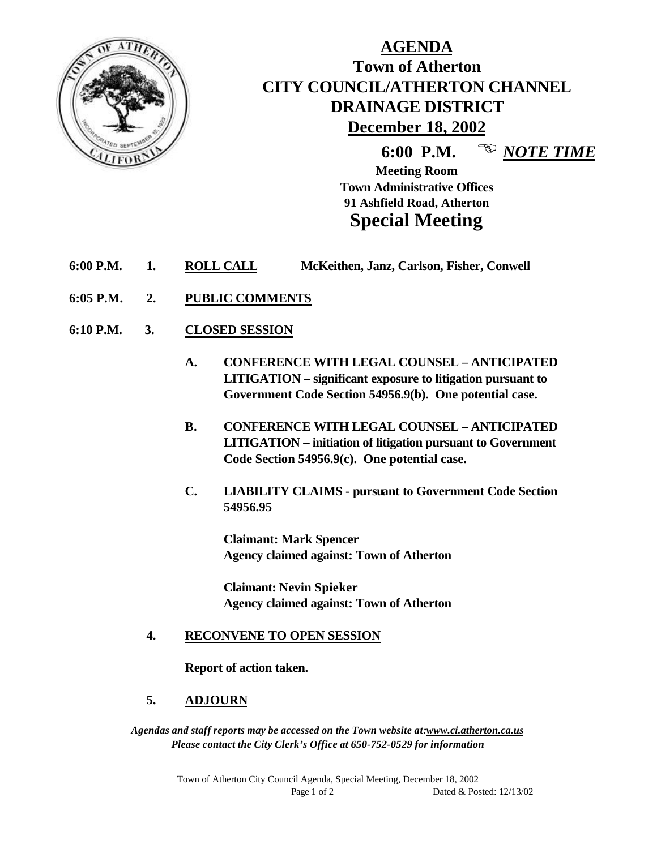

# **AGENDA Town of Atherton CITY COUNCIL/ATHERTON CHANNEL DRAINAGE DISTRICT December 18, 2002**

**6:00 P.M.** <sup>**E** *NOTE TIME*</sup>

**Meeting Room Town Administrative Offices 91 Ashfield Road, Atherton Special Meeting**

- **6:00 P.M. 1. ROLL CALL McKeithen, Janz, Carlson, Fisher, Conwell**
- **6:05 P.M. 2. PUBLIC COMMENTS**
- **6:10 P.M. 3. CLOSED SESSION**
	- **A. CONFERENCE WITH LEGAL COUNSEL ANTICIPATED LITIGATION – significant exposure to litigation pursuant to Government Code Section 54956.9(b). One potential case.**
	- **B. CONFERENCE WITH LEGAL COUNSEL ANTICIPATED LITIGATION – initiation of litigation pursuant to Government Code Section 54956.9(c). One potential case.**
	- **C. LIABILITY CLAIMS pursuant to Government Code Section 54956.95**

**Claimant: Mark Spencer Agency claimed against: Town of Atherton**

**Claimant: Nevin Spieker Agency claimed against: Town of Atherton**

#### **4. RECONVENE TO OPEN SESSION**

**Report of action taken.**

#### **5. ADJOURN**

*Agendas and staff reports may be accessed on the Town website at:www.ci.atherton.ca.us Please contact the City Clerk's Office at 650-752-0529 for information*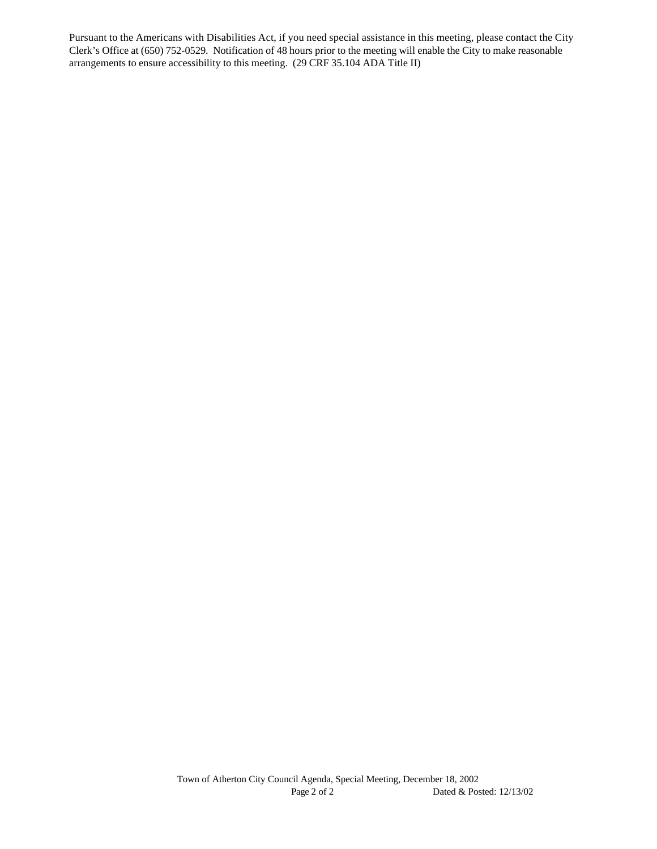Pursuant to the Americans with Disabilities Act, if you need special assistance in this meeting, please contact the City Clerk's Office at (650) 752-0529. Notification of 48 hours prior to the meeting will enable the City to make reasonable arrangements to ensure accessibility to this meeting. (29 CRF 35.104 ADA Title II)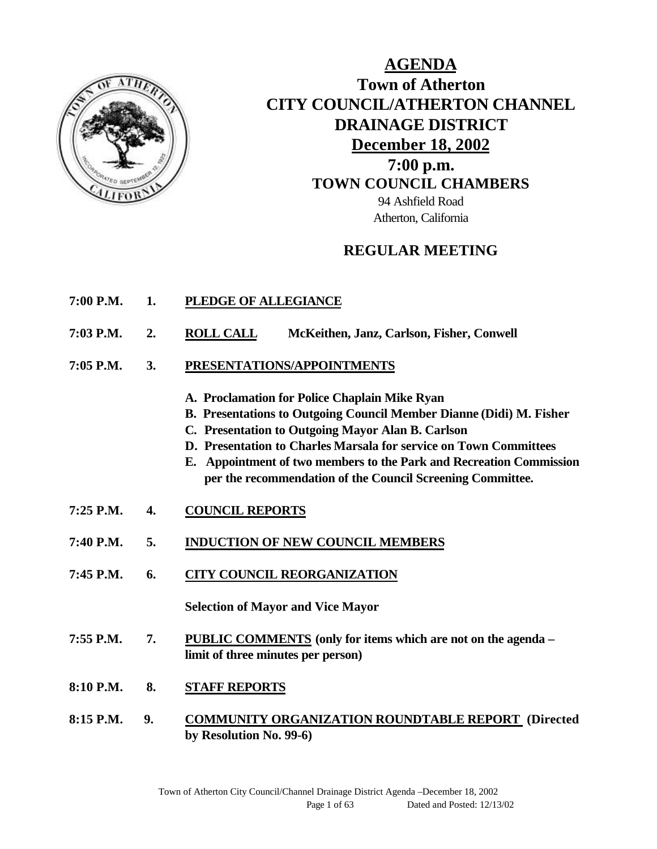

# **AGENDA Town of Atherton CITY COUNCIL/ATHERTON CHANNEL DRAINAGE DISTRICT December 18, 2002 7:00 p.m. TOWN COUNCIL CHAMBERS** 94 Ashfield Road Atherton, California

## **REGULAR MEETING**

- **7:00 P.M. 1. PLEDGE OF ALLEGIANCE**
- **7:03 P.M. 2. ROLL CALL McKeithen, Janz, Carlson, Fisher, Conwell**
- **7:05 P.M. 3. PRESENTATIONS/APPOINTMENTS**
	- **A. Proclamation for Police Chaplain Mike Ryan**
	- **B. Presentations to Outgoing Council Member Dianne (Didi) M. Fisher**
	- **C. Presentation to Outgoing Mayor Alan B. Carlson**
	- **D. Presentation to Charles Marsala for service on Town Committees**
	- **E. Appointment of two members to the Park and Recreation Commission per the recommendation of the Council Screening Committee.**
- **7:25 P.M. 4. COUNCIL REPORTS**
- **7:40 P.M. 5. INDUCTION OF NEW COUNCIL MEMBERS**
- **7:45 P.M. 6. CITY COUNCIL REORGANIZATION**

**Selection of Mayor and Vice Mayor**

- **7:55 P.M. 7. PUBLIC COMMENTS (only for items which are not on the agenda – limit of three minutes per person)**
- **8:10 P.M. 8. STAFF REPORTS**
- **8:15 P.M. 9. COMMUNITY ORGANIZATION ROUNDTABLE REPORT (Directed by Resolution No. 99-6)**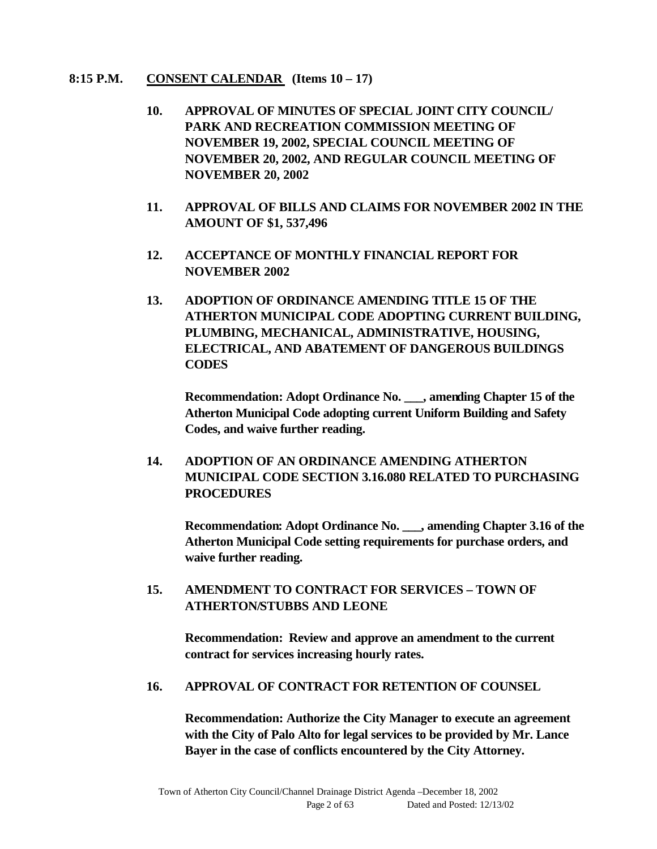#### **8:15 P.M. CONSENT CALENDAR (Items 10 – 17)**

- **10. APPROVAL OF MINUTES OF SPECIAL JOINT CITY COUNCIL/ PARK AND RECREATION COMMISSION MEETING OF NOVEMBER 19, 2002, SPECIAL COUNCIL MEETING OF NOVEMBER 20, 2002, AND REGULAR COUNCIL MEETING OF NOVEMBER 20, 2002**
- **11. APPROVAL OF BILLS AND CLAIMS FOR NOVEMBER 2002 IN THE AMOUNT OF \$1, 537,496**
- **12. ACCEPTANCE OF MONTHLY FINANCIAL REPORT FOR NOVEMBER 2002**
- **13. ADOPTION OF ORDINANCE AMENDING TITLE 15 OF THE ATHERTON MUNICIPAL CODE ADOPTING CURRENT BUILDING, PLUMBING, MECHANICAL, ADMINISTRATIVE, HOUSING, ELECTRICAL, AND ABATEMENT OF DANGEROUS BUILDINGS CODES**

**Recommendation: Adopt Ordinance No. \_\_\_, amending Chapter 15 of the Atherton Municipal Code adopting current Uniform Building and Safety Codes, and waive further reading.**

**14. ADOPTION OF AN ORDINANCE AMENDING ATHERTON MUNICIPAL CODE SECTION 3.16.080 RELATED TO PURCHASING PROCEDURES**

**Recommendation: Adopt Ordinance No. \_\_\_, amending Chapter 3.16 of the Atherton Municipal Code setting requirements for purchase orders, and waive further reading.**

**15. AMENDMENT TO CONTRACT FOR SERVICES – TOWN OF ATHERTON/STUBBS AND LEONE**

**Recommendation: Review and approve an amendment to the current contract for services increasing hourly rates.**

#### **16. APPROVAL OF CONTRACT FOR RETENTION OF COUNSEL**

**Recommendation: Authorize the City Manager to execute an agreement with the City of Palo Alto for legal services to be provided by Mr. Lance Bayer in the case of conflicts encountered by the City Attorney.**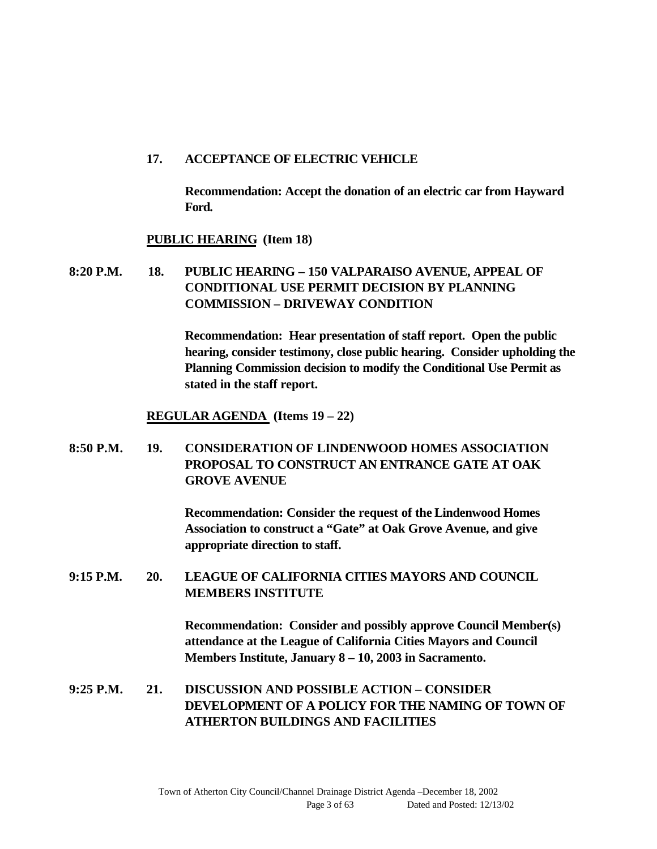#### **17. ACCEPTANCE OF ELECTRIC VEHICLE**

**Recommendation: Accept the donation of an electric car from Hayward Ford.**

#### **PUBLIC HEARING (Item 18)**

**8:20 P.M. 18. PUBLIC HEARING – 150 VALPARAISO AVENUE, APPEAL OF CONDITIONAL USE PERMIT DECISION BY PLANNING COMMISSION – DRIVEWAY CONDITION**

> **Recommendation: Hear presentation of staff report. Open the public hearing, consider testimony, close public hearing. Consider upholding the Planning Commission decision to modify the Conditional Use Permit as stated in the staff report.**

**REGULAR AGENDA (Items 19 – 22)**

**8:50 P.M. 19. CONSIDERATION OF LINDENWOOD HOMES ASSOCIATION PROPOSAL TO CONSTRUCT AN ENTRANCE GATE AT OAK GROVE AVENUE**

> **Recommendation: Consider the request of the Lindenwood Homes Association to construct a "Gate" at Oak Grove Avenue, and give appropriate direction to staff.**

**9:15 P.M. 20. LEAGUE OF CALIFORNIA CITIES MAYORS AND COUNCIL MEMBERS INSTITUTE**

> **Recommendation: Consider and possibly approve Council Member(s) attendance at the League of California Cities Mayors and Council Members Institute, January 8 – 10, 2003 in Sacramento.**

**9:25 P.M. 21. DISCUSSION AND POSSIBLE ACTION – CONSIDER DEVELOPMENT OF A POLICY FOR THE NAMING OF TOWN OF ATHERTON BUILDINGS AND FACILITIES**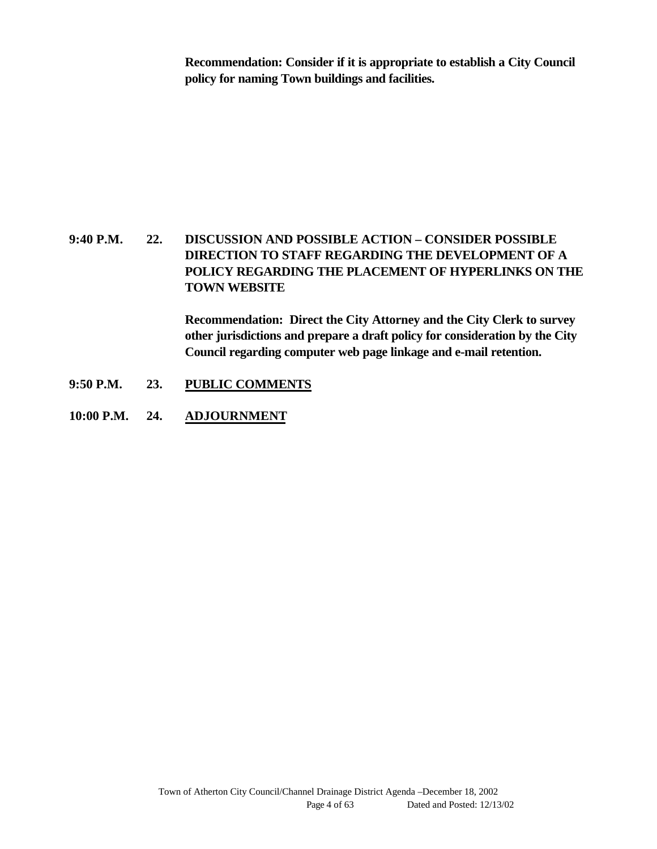**Recommendation: Consider if it is appropriate to establish a City Council policy for naming Town buildings and facilities.**

## **9:40 P.M. 22. DISCUSSION AND POSSIBLE ACTION – CONSIDER POSSIBLE DIRECTION TO STAFF REGARDING THE DEVELOPMENT OF A POLICY REGARDING THE PLACEMENT OF HYPERLINKS ON THE TOWN WEBSITE**

**Recommendation: Direct the City Attorney and the City Clerk to survey other jurisdictions and prepare a draft policy for consideration by the City Council regarding computer web page linkage and e-mail retention.**

- **9:50 P.M. 23. PUBLIC COMMENTS**
- **10:00 P.M. 24. ADJOURNMENT**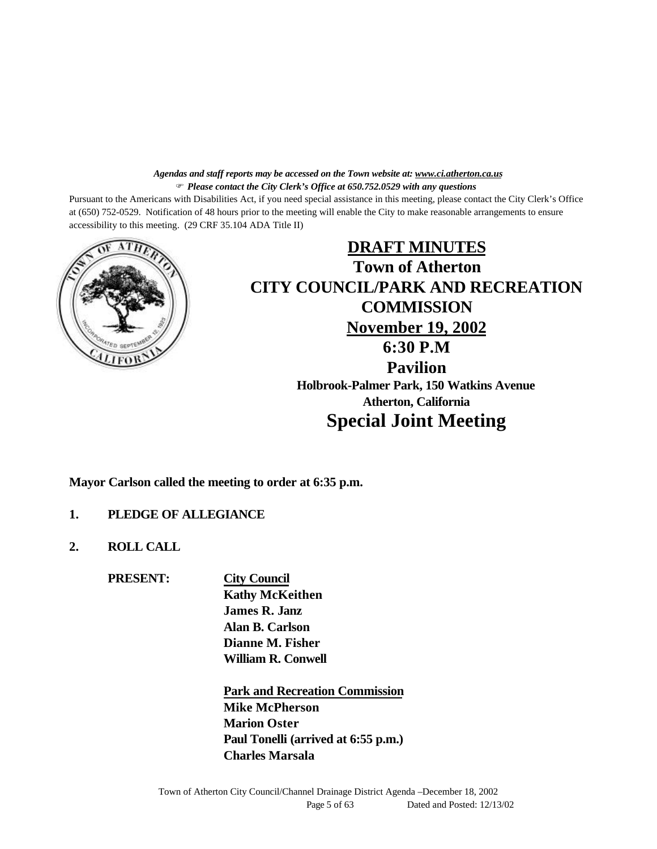#### *Agendas and staff reports may be accessed on the Town website at: www.ci.atherton.ca.us* F *Please contact the City Clerk's Office at 650.752.0529 with any questions*

Pursuant to the Americans with Disabilities Act, if you need special assistance in this meeting, please contact the City Clerk's Office at (650) 752-0529. Notification of 48 hours prior to the meeting will enable the City to make reasonable arrangements to ensure accessibility to this meeting. (29 CRF 35.104 ADA Title II)



# **DRAFT MINUTES Town of Atherton CITY COUNCIL/PARK AND RECREATION COMMISSION November 19, 2002 6:30 P.M Pavilion Holbrook-Palmer Park, 150 Watkins Avenue Atherton, California Special Joint Meeting**

**Mayor Carlson called the meeting to order at 6:35 p.m.**

#### **1. PLEDGE OF ALLEGIANCE**

**2. ROLL CALL**

**PRESENT: City Council**

**Kathy McKeithen James R. Janz Alan B. Carlson Dianne M. Fisher William R. Conwell**

**Park and Recreation Commission Mike McPherson Marion Oster Paul Tonelli (arrived at 6:55 p.m.) Charles Marsala**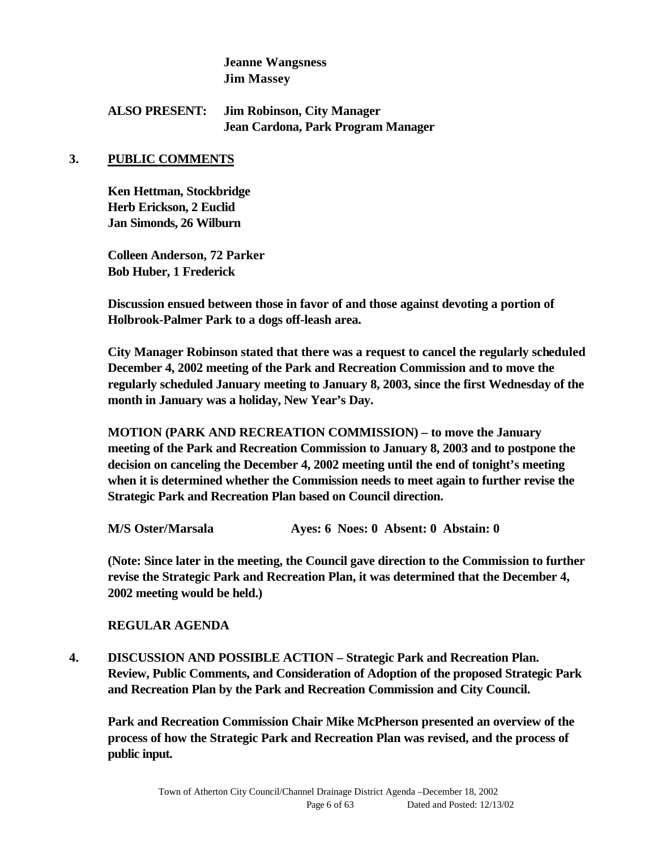#### **Jeanne Wangsness Jim Massey**

#### **ALSO PRESENT: Jim Robinson, City Manager Jean Cardona, Park Program Manager**

#### **3. PUBLIC COMMENTS**

**Ken Hettman, Stockbridge Herb Erickson, 2 Euclid Jan Simonds, 26 Wilburn**

**Colleen Anderson, 72 Parker Bob Huber, 1 Frederick**

**Discussion ensued between those in favor of and those against devoting a portion of Holbrook-Palmer Park to a dogs off-leash area.**

**City Manager Robinson stated that there was a request to cancel the regularly scheduled December 4, 2002 meeting of the Park and Recreation Commission and to move the regularly scheduled January meeting to January 8, 2003, since the first Wednesday of the month in January was a holiday, New Year's Day.**

**MOTION (PARK AND RECREATION COMMISSION) – to move the January meeting of the Park and Recreation Commission to January 8, 2003 and to postpone the decision on canceling the December 4, 2002 meeting until the end of tonight's meeting when it is determined whether the Commission needs to meet again to further revise the Strategic Park and Recreation Plan based on Council direction.**

**M/S Oster/Marsala Ayes: 6 Noes: 0 Absent: 0 Abstain: 0**

**(Note: Since later in the meeting, the Council gave direction to the Commission to further revise the Strategic Park and Recreation Plan, it was determined that the December 4, 2002 meeting would be held.)**

#### **REGULAR AGENDA**

**4. DISCUSSION AND POSSIBLE ACTION – Strategic Park and Recreation Plan. Review, Public Comments, and Consideration of Adoption of the proposed Strategic Park and Recreation Plan by the Park and Recreation Commission and City Council.**

**Park and Recreation Commission Chair Mike McPherson presented an overview of the process of how the Strategic Park and Recreation Plan was revised, and the process of public input.**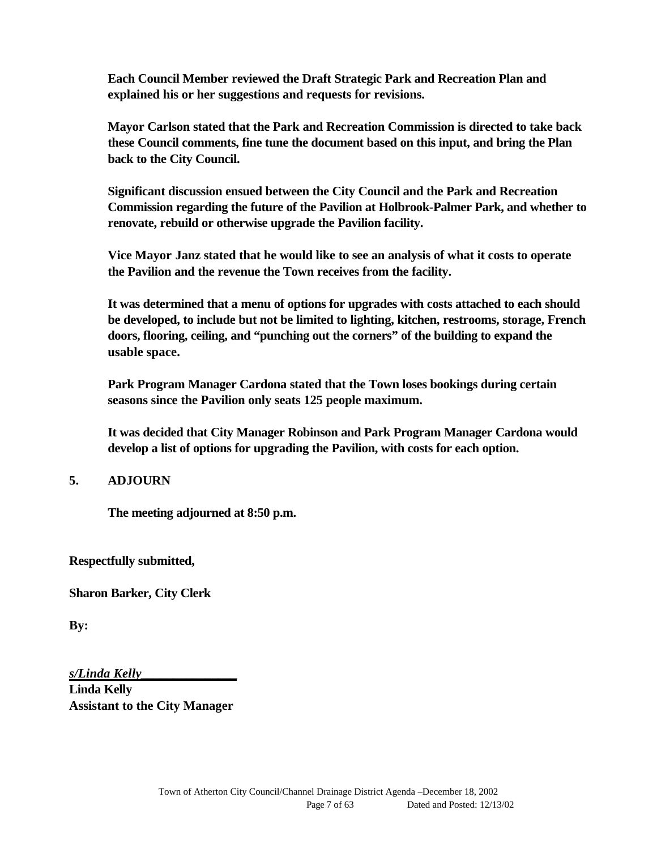**Each Council Member reviewed the Draft Strategic Park and Recreation Plan and explained his or her suggestions and requests for revisions.**

**Mayor Carlson stated that the Park and Recreation Commission is directed to take back these Council comments, fine tune the document based on this input, and bring the Plan back to the City Council.**

**Significant discussion ensued between the City Council and the Park and Recreation Commission regarding the future of the Pavilion at Holbrook-Palmer Park, and whether to renovate, rebuild or otherwise upgrade the Pavilion facility.**

**Vice Mayor Janz stated that he would like to see an analysis of what it costs to operate the Pavilion and the revenue the Town receives from the facility.**

**It was determined that a menu of options for upgrades with costs attached to each should be developed, to include but not be limited to lighting, kitchen, restrooms, storage, French doors, flooring, ceiling, and "punching out the corners" of the building to expand the usable space.**

**Park Program Manager Cardona stated that the Town loses bookings during certain seasons since the Pavilion only seats 125 people maximum.**

**It was decided that City Manager Robinson and Park Program Manager Cardona would develop a list of options for upgrading the Pavilion, with costs for each option.**

#### **5. ADJOURN**

**The meeting adjourned at 8:50 p.m.**

**Respectfully submitted,**

**Sharon Barker, City Clerk**

**By:**

*s/Linda Kelly***\_\_\_\_\_\_\_\_\_\_\_\_\_\_\_**

**Linda Kelly Assistant to the City Manager**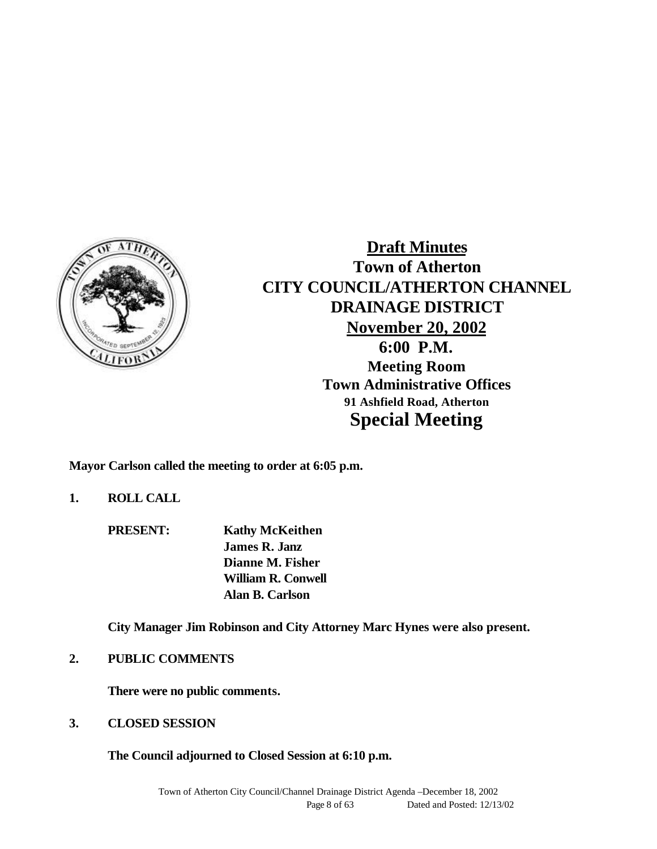

**Draft Minutes Town of Atherton CITY COUNCIL/ATHERTON CHANNEL DRAINAGE DISTRICT November 20, 2002 6:00 P.M. Meeting Room Town Administrative Offices 91 Ashfield Road, Atherton Special Meeting**

**Mayor Carlson called the meeting to order at 6:05 p.m.**

**1. ROLL CALL**

**PRESENT: Kathy McKeithen James R. Janz Dianne M. Fisher William R. Conwell Alan B. Carlson**

**City Manager Jim Robinson and City Attorney Marc Hynes were also present.**

**2. PUBLIC COMMENTS**

**There were no public comments.**

**3. CLOSED SESSION**

**The Council adjourned to Closed Session at 6:10 p.m.**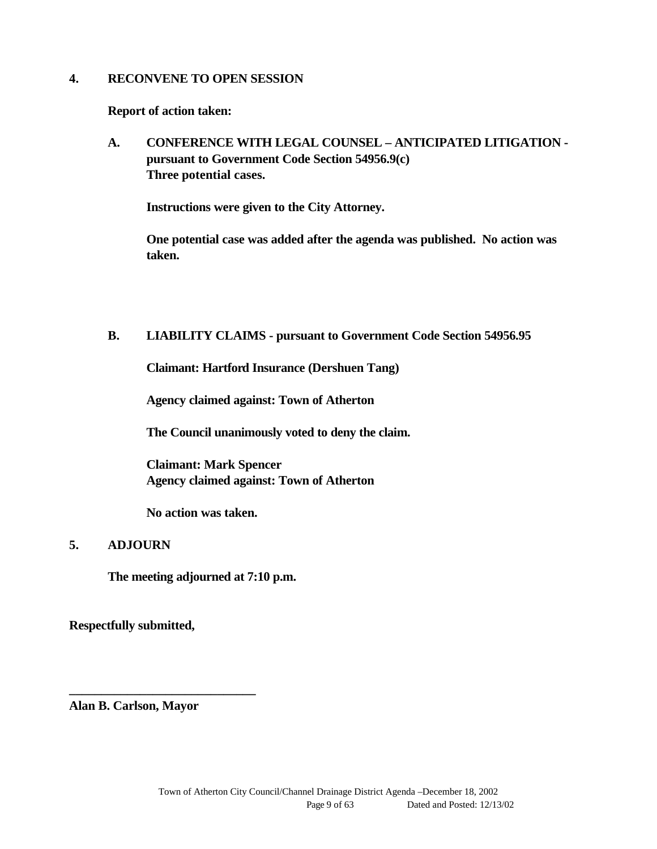#### **4. RECONVENE TO OPEN SESSION**

**Report of action taken:**

**A. CONFERENCE WITH LEGAL COUNSEL – ANTICIPATED LITIGATION pursuant to Government Code Section 54956.9(c) Three potential cases.**

**Instructions were given to the City Attorney.**

**One potential case was added after the agenda was published. No action was taken.**

#### **B. LIABILITY CLAIMS - pursuant to Government Code Section 54956.95**

**Claimant: Hartford Insurance (Dershuen Tang)**

**Agency claimed against: Town of Atherton**

**The Council unanimously voted to deny the claim.**

**Claimant: Mark Spencer Agency claimed against: Town of Atherton**

**No action was taken.**

#### **5. ADJOURN**

**The meeting adjourned at 7:10 p.m.**

**Respectfully submitted,**

**Alan B. Carlson, Mayor**

**\_\_\_\_\_\_\_\_\_\_\_\_\_\_\_\_\_\_\_\_\_\_\_\_\_\_\_\_\_**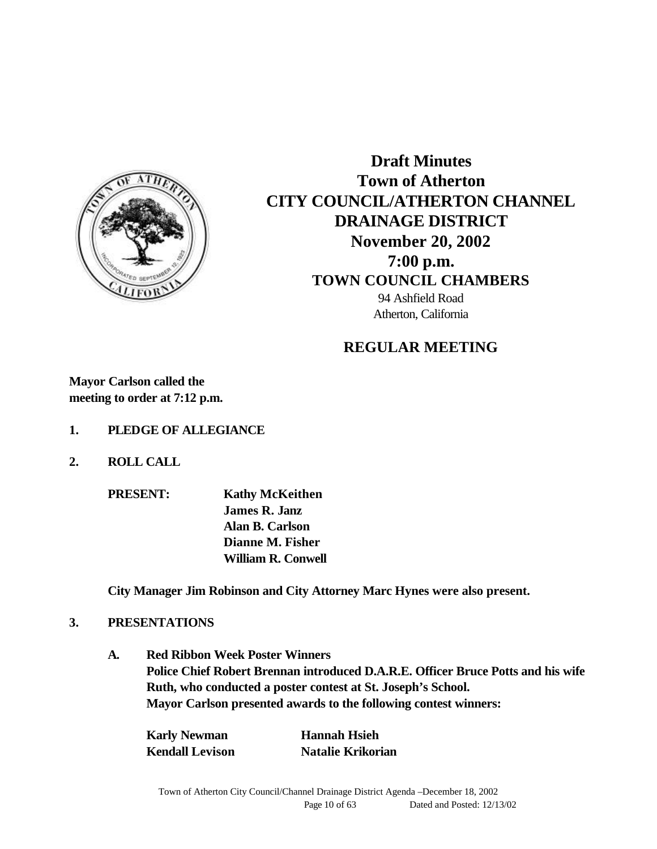

**Draft Minutes Town of Atherton CITY COUNCIL/ATHERTON CHANNEL DRAINAGE DISTRICT November 20, 2002 7:00 p.m. TOWN COUNCIL CHAMBERS** 94 Ashfield Road Atherton, California

#### **REGULAR MEETING**

**Mayor Carlson called the meeting to order at 7:12 p.m.**

- **1. PLEDGE OF ALLEGIANCE**
- **2. ROLL CALL**
	- **PRESENT: Kathy McKeithen James R. Janz Alan B. Carlson Dianne M. Fisher William R. Conwell**

**City Manager Jim Robinson and City Attorney Marc Hynes were also present.**

#### **3. PRESENTATIONS**

**A. Red Ribbon Week Poster Winners Police Chief Robert Brennan introduced D.A.R.E. Officer Bruce Potts and his wife Ruth, who conducted a poster contest at St. Joseph's School. Mayor Carlson presented awards to the following contest winners:**

| <b>Karly Newman</b>    | <b>Hannah Hsieh</b>      |
|------------------------|--------------------------|
| <b>Kendall Levison</b> | <b>Natalie Krikorian</b> |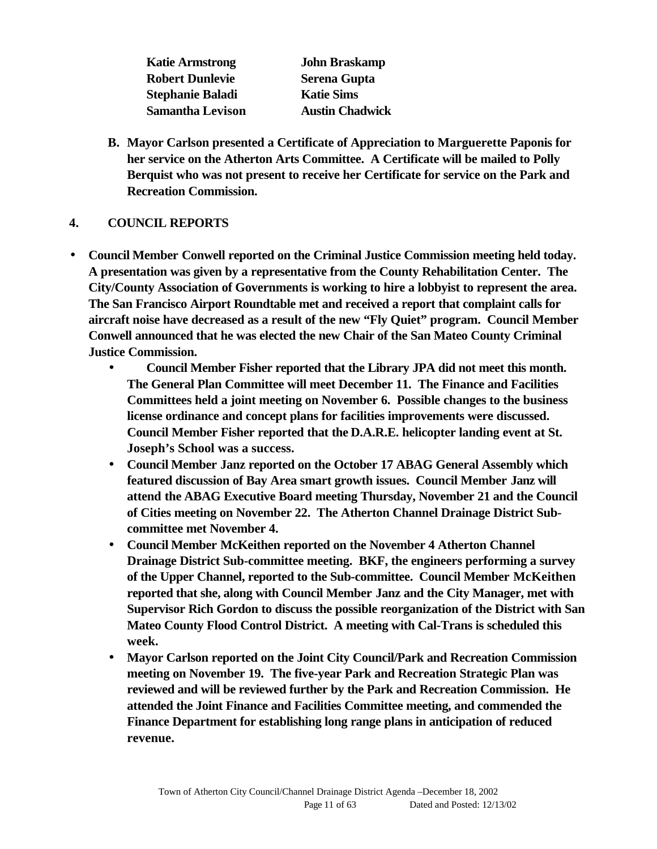**Katie Armstrong John Braskamp Robert Dunlevie Serena Gupta Stephanie Baladi Katie Sims Samantha Levison Austin Chadwick**

**B. Mayor Carlson presented a Certificate of Appreciation to Marguerette Paponis for her service on the Atherton Arts Committee. A Certificate will be mailed to Polly Berquist who was not present to receive her Certificate for service on the Park and Recreation Commission.**

## **4. COUNCIL REPORTS**

- **Council Member Conwell reported on the Criminal Justice Commission meeting held today. A presentation was given by a representative from the County Rehabilitation Center. The City/County Association of Governments is working to hire a lobbyist to represent the area. The San Francisco Airport Roundtable met and received a report that complaint calls for aircraft noise have decreased as a result of the new "Fly Quiet" program. Council Member Conwell announced that he was elected the new Chair of the San Mateo County Criminal Justice Commission.**
	- **Council Member Fisher reported that the Library JPA did not meet this month. The General Plan Committee will meet December 11. The Finance and Facilities Committees held a joint meeting on November 6. Possible changes to the business license ordinance and concept plans for facilities improvements were discussed. Council Member Fisher reported that the D.A.R.E. helicopter landing event at St. Joseph's School was a success.**
	- **Council Member Janz reported on the October 17 ABAG General Assembly which featured discussion of Bay Area smart growth issues. Council Member Janz will attend the ABAG Executive Board meeting Thursday, November 21 and the Council of Cities meeting on November 22. The Atherton Channel Drainage District Subcommittee met November 4.**
	- **Council Member McKeithen reported on the November 4 Atherton Channel Drainage District Sub-committee meeting. BKF, the engineers performing a survey of the Upper Channel, reported to the Sub-committee. Council Member McKeithen reported that she, along with Council Member Janz and the City Manager, met with Supervisor Rich Gordon to discuss the possible reorganization of the District with San Mateo County Flood Control District. A meeting with Cal-Trans is scheduled this week.**
	- **Mayor Carlson reported on the Joint City Council/Park and Recreation Commission meeting on November 19. The five-year Park and Recreation Strategic Plan was reviewed and will be reviewed further by the Park and Recreation Commission. He attended the Joint Finance and Facilities Committee meeting, and commended the Finance Department for establishing long range plans in anticipation of reduced revenue.**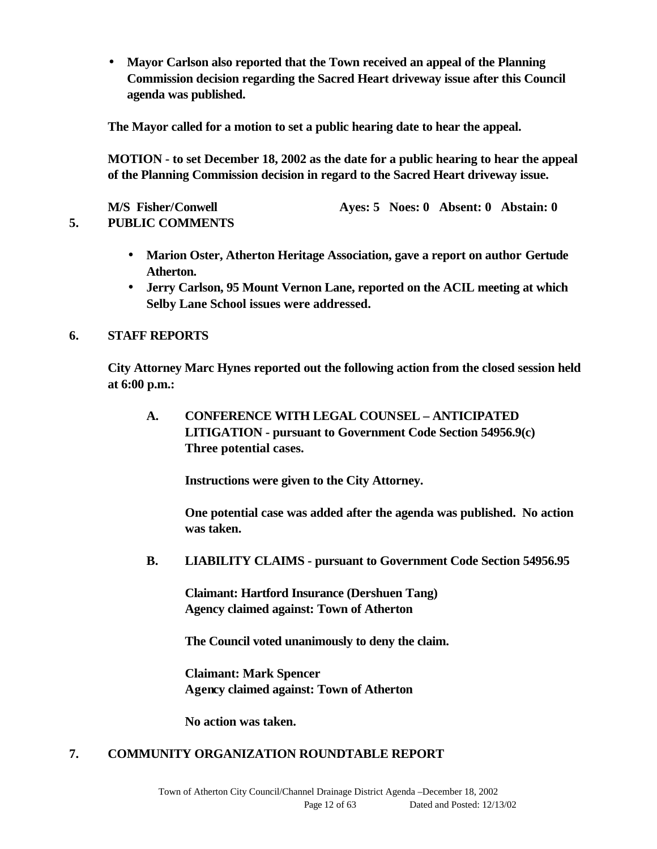• **Mayor Carlson also reported that the Town received an appeal of the Planning Commission decision regarding the Sacred Heart driveway issue after this Council agenda was published.**

**The Mayor called for a motion to set a public hearing date to hear the appeal.**

**MOTION - to set December 18, 2002 as the date for a public hearing to hear the appeal of the Planning Commission decision in regard to the Sacred Heart driveway issue.**

**M/S Fisher/Conwell Ayes: 5 Noes: 0 Absent: 0 Abstain: 0 5. PUBLIC COMMENTS**

- **Marion Oster, Atherton Heritage Association, gave a report on author Gertude**
- **Jerry Carlson, 95 Mount Vernon Lane, reported on the ACIL meeting at which Selby Lane School issues were addressed.**

## **6. STAFF REPORTS**

**Atherton.**

**City Attorney Marc Hynes reported out the following action from the closed session held at 6:00 p.m.:**

**A. CONFERENCE WITH LEGAL COUNSEL – ANTICIPATED LITIGATION - pursuant to Government Code Section 54956.9(c) Three potential cases.**

**Instructions were given to the City Attorney.**

**One potential case was added after the agenda was published. No action was taken.**

 **B. LIABILITY CLAIMS - pursuant to Government Code Section 54956.95**

**Claimant: Hartford Insurance (Dershuen Tang) Agency claimed against: Town of Atherton**

**The Council voted unanimously to deny the claim.**

**Claimant: Mark Spencer Agency claimed against: Town of Atherton**

**No action was taken.**

#### **7. COMMUNITY ORGANIZATION ROUNDTABLE REPORT**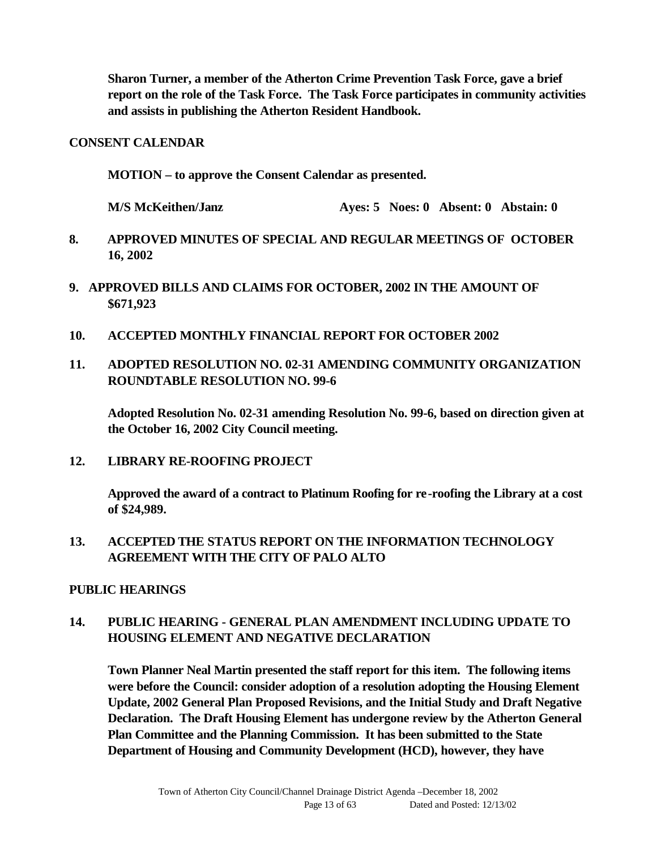**Sharon Turner, a member of the Atherton Crime Prevention Task Force, gave a brief report on the role of the Task Force. The Task Force participates in community activities and assists in publishing the Atherton Resident Handbook.**

#### **CONSENT CALENDAR**

**MOTION – to approve the Consent Calendar as presented.**

**M/S McKeithen/Janz Ayes: 5 Noes: 0 Absent: 0 Abstain: 0**

- **8. APPROVED MINUTES OF SPECIAL AND REGULAR MEETINGS OF OCTOBER 16, 2002**
- **9. APPROVED BILLS AND CLAIMS FOR OCTOBER, 2002 IN THE AMOUNT OF \$671,923**
- **10. ACCEPTED MONTHLY FINANCIAL REPORT FOR OCTOBER 2002**
- **11. ADOPTED RESOLUTION NO. 02-31 AMENDING COMMUNITY ORGANIZATION ROUNDTABLE RESOLUTION NO. 99-6**

**Adopted Resolution No. 02-31 amending Resolution No. 99-6, based on direction given at the October 16, 2002 City Council meeting.**

#### **12. LIBRARY RE-ROOFING PROJECT**

**Approved the award of a contract to Platinum Roofing for re-roofing the Library at a cost of \$24,989.**

## **13. ACCEPTED THE STATUS REPORT ON THE INFORMATION TECHNOLOGY AGREEMENT WITH THE CITY OF PALO ALTO**

#### **PUBLIC HEARINGS**

## **14. PUBLIC HEARING - GENERAL PLAN AMENDMENT INCLUDING UPDATE TO HOUSING ELEMENT AND NEGATIVE DECLARATION**

**Town Planner Neal Martin presented the staff report for this item. The following items were before the Council: consider adoption of a resolution adopting the Housing Element Update, 2002 General Plan Proposed Revisions, and the Initial Study and Draft Negative Declaration. The Draft Housing Element has undergone review by the Atherton General Plan Committee and the Planning Commission. It has been submitted to the State Department of Housing and Community Development (HCD), however, they have**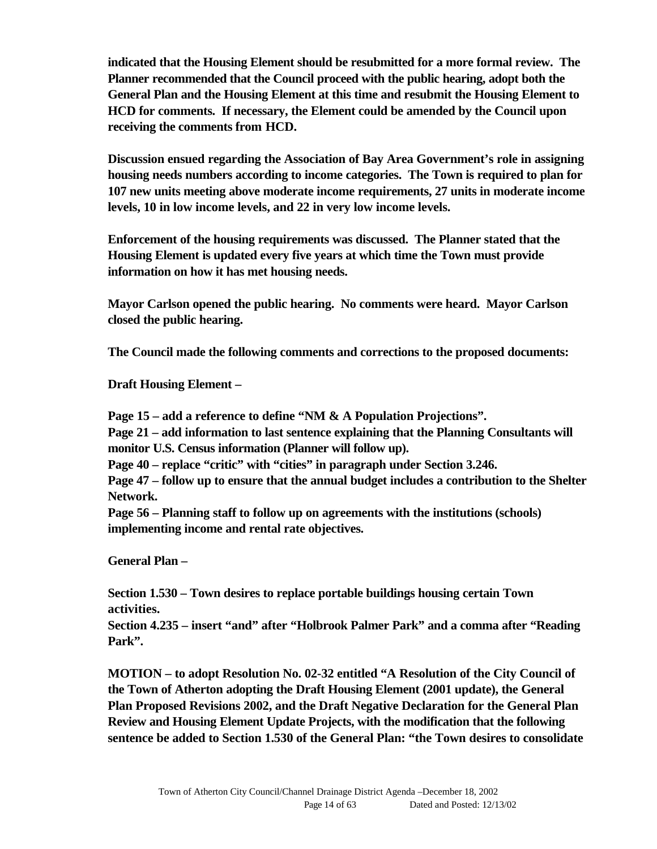**indicated that the Housing Element should be resubmitted for a more formal review. The Planner recommended that the Council proceed with the public hearing, adopt both the General Plan and the Housing Element at this time and resubmit the Housing Element to HCD for comments. If necessary, the Element could be amended by the Council upon receiving the comments from HCD.**

**Discussion ensued regarding the Association of Bay Area Government's role in assigning housing needs numbers according to income categories. The Town is required to plan for 107 new units meeting above moderate income requirements, 27 units in moderate income levels, 10 in low income levels, and 22 in very low income levels.**

**Enforcement of the housing requirements was discussed. The Planner stated that the Housing Element is updated every five years at which time the Town must provide information on how it has met housing needs.**

**Mayor Carlson opened the public hearing. No comments were heard. Mayor Carlson closed the public hearing.**

**The Council made the following comments and corrections to the proposed documents:**

**Draft Housing Element –**

**Page 15 – add a reference to define "NM & A Population Projections".**

**Page 21 – add information to last sentence explaining that the Planning Consultants will monitor U.S. Census information (Planner will follow up).**

**Page 40 – replace "critic" with "cities" in paragraph under Section 3.246.**

**Page 47 – follow up to ensure that the annual budget includes a contribution to the Shelter Network.**

**Page 56 – Planning staff to follow up on agreements with the institutions (schools) implementing income and rental rate objectives.**

**General Plan –**

**Section 1.530 – Town desires to replace portable buildings housing certain Town activities.**

**Section 4.235 – insert "and" after "Holbrook Palmer Park" and a comma after "Reading Park".**

**MOTION – to adopt Resolution No. 02-32 entitled "A Resolution of the City Council of the Town of Atherton adopting the Draft Housing Element (2001 update), the General Plan Proposed Revisions 2002, and the Draft Negative Declaration for the General Plan Review and Housing Element Update Projects, with the modification that the following sentence be added to Section 1.530 of the General Plan: "the Town desires to consolidate**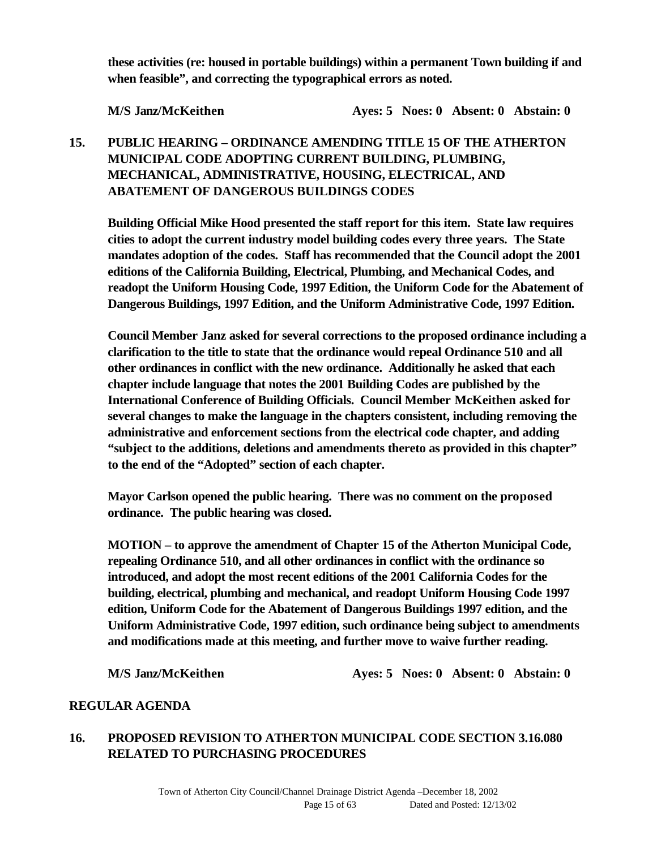**these activities (re: housed in portable buildings) within a permanent Town building if and when feasible", and correcting the typographical errors as noted.**

**M/S Janz/McKeithen Ayes: 5 Noes: 0 Absent: 0 Abstain: 0** 

## **15. PUBLIC HEARING – ORDINANCE AMENDING TITLE 15 OF THE ATHERTON MUNICIPAL CODE ADOPTING CURRENT BUILDING, PLUMBING, MECHANICAL, ADMINISTRATIVE, HOUSING, ELECTRICAL, AND ABATEMENT OF DANGEROUS BUILDINGS CODES**

**Building Official Mike Hood presented the staff report for this item. State law requires cities to adopt the current industry model building codes every three years. The State mandates adoption of the codes. Staff has recommended that the Council adopt the 2001 editions of the California Building, Electrical, Plumbing, and Mechanical Codes, and readopt the Uniform Housing Code, 1997 Edition, the Uniform Code for the Abatement of Dangerous Buildings, 1997 Edition, and the Uniform Administrative Code, 1997 Edition.**

**Council Member Janz asked for several corrections to the proposed ordinance including a clarification to the title to state that the ordinance would repeal Ordinance 510 and all other ordinances in conflict with the new ordinance. Additionally he asked that each chapter include language that notes the 2001 Building Codes are published by the International Conference of Building Officials. Council Member McKeithen asked for several changes to make the language in the chapters consistent, including removing the administrative and enforcement sections from the electrical code chapter, and adding "subject to the additions, deletions and amendments thereto as provided in this chapter" to the end of the "Adopted" section of each chapter.**

**Mayor Carlson opened the public hearing. There was no comment on the proposed ordinance. The public hearing was closed.**

**MOTION – to approve the amendment of Chapter 15 of the Atherton Municipal Code, repealing Ordinance 510, and all other ordinances in conflict with the ordinance so introduced, and adopt the most recent editions of the 2001 California Codes for the building, electrical, plumbing and mechanical, and readopt Uniform Housing Code 1997 edition, Uniform Code for the Abatement of Dangerous Buildings 1997 edition, and the Uniform Administrative Code, 1997 edition, such ordinance being subject to amendments and modifications made at this meeting, and further move to waive further reading.**

**M/S Janz/McKeithen Ayes: 5 Noes: 0 Absent: 0 Abstain: 0**

#### **REGULAR AGENDA**

## **16. PROPOSED REVISION TO ATHERTON MUNICIPAL CODE SECTION 3.16.080 RELATED TO PURCHASING PROCEDURES**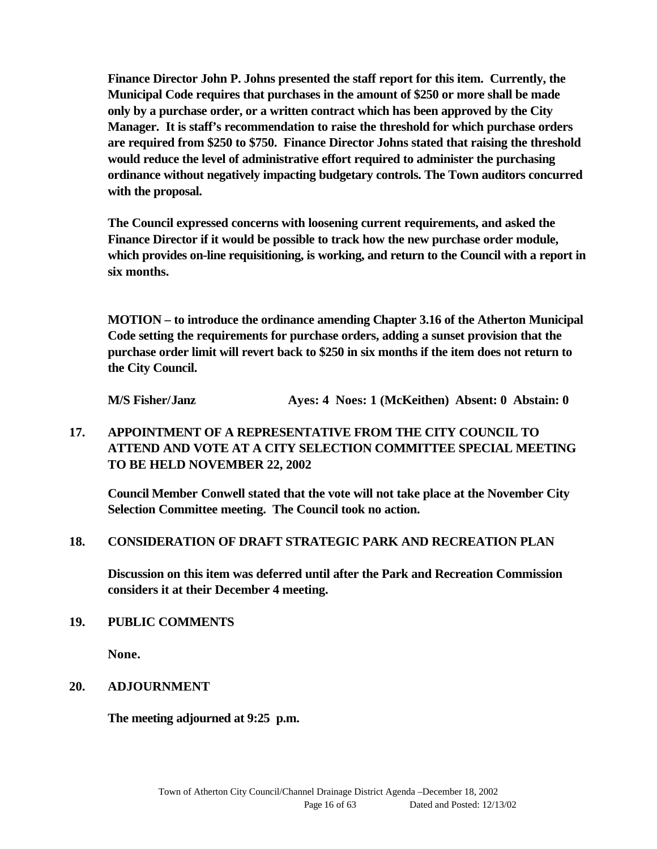**Finance Director John P. Johns presented the staff report for this item. Currently, the Municipal Code requires that purchases in the amount of \$250 or more shall be made only by a purchase order, or a written contract which has been approved by the City Manager. It is staff's recommendation to raise the threshold for which purchase orders are required from \$250 to \$750. Finance Director Johns stated that raising the threshold would reduce the level of administrative effort required to administer the purchasing ordinance without negatively impacting budgetary controls. The Town auditors concurred with the proposal.**

**The Council expressed concerns with loosening current requirements, and asked the Finance Director if it would be possible to track how the new purchase order module, which provides on-line requisitioning, is working, and return to the Council with a report in six months.**

**MOTION – to introduce the ordinance amending Chapter 3.16 of the Atherton Municipal Code setting the requirements for purchase orders, adding a sunset provision that the purchase order limit will revert back to \$250 in six months if the item does not return to the City Council.**

**M/S Fisher/Janz Ayes: 4 Noes: 1 (McKeithen) Absent: 0 Abstain: 0**

## **17. APPOINTMENT OF A REPRESENTATIVE FROM THE CITY COUNCIL TO ATTEND AND VOTE AT A CITY SELECTION COMMITTEE SPECIAL MEETING TO BE HELD NOVEMBER 22, 2002**

**Council Member Conwell stated that the vote will not take place at the November City Selection Committee meeting. The Council took no action.**

#### **18. CONSIDERATION OF DRAFT STRATEGIC PARK AND RECREATION PLAN**

**Discussion on this item was deferred until after the Park and Recreation Commission considers it at their December 4 meeting.**

#### **19. PUBLIC COMMENTS**

**None.**

#### **20. ADJOURNMENT**

**The meeting adjourned at 9:25 p.m.**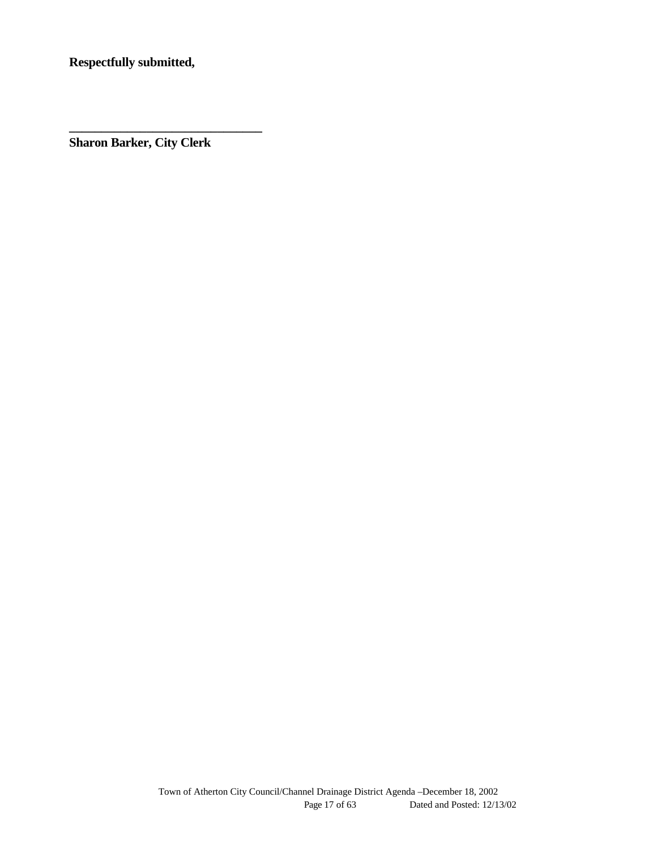**Respectfully submitted,**

**Sharon Barker, City Clerk**

**\_\_\_\_\_\_\_\_\_\_\_\_\_\_\_\_\_\_\_\_\_\_\_\_\_\_\_\_\_\_**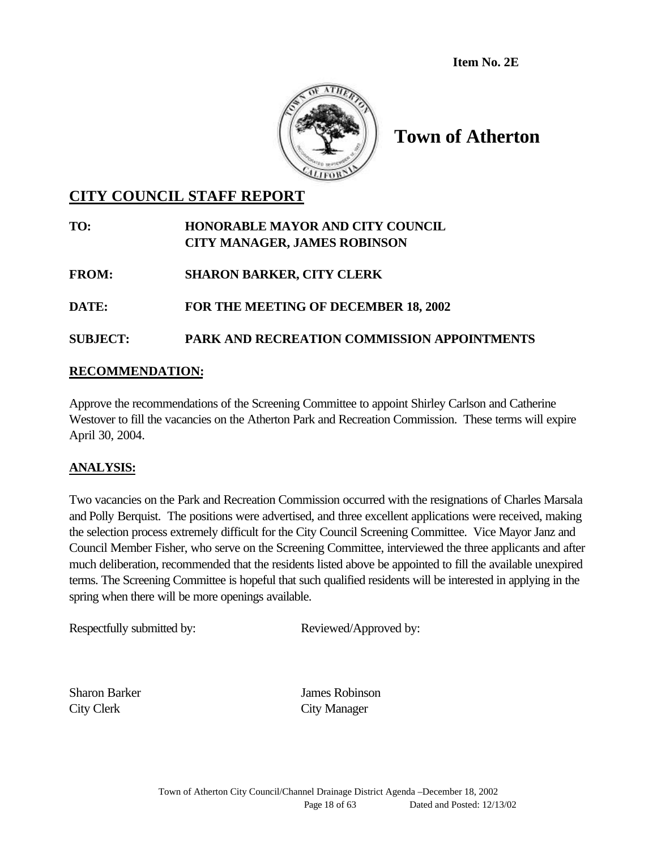**Item No. 2E**



# **Town of Atherton**

## **CITY COUNCIL STAFF REPORT**

#### **TO: HONORABLE MAYOR AND CITY COUNCIL CITY MANAGER, JAMES ROBINSON**

**FROM: SHARON BARKER, CITY CLERK**

**DATE: FOR THE MEETING OF DECEMBER 18, 2002**

## **SUBJECT: PARK AND RECREATION COMMISSION APPOINTMENTS**

#### **RECOMMENDATION:**

Approve the recommendations of the Screening Committee to appoint Shirley Carlson and Catherine Westover to fill the vacancies on the Atherton Park and Recreation Commission. These terms will expire April 30, 2004.

#### **ANALYSIS:**

Two vacancies on the Park and Recreation Commission occurred with the resignations of Charles Marsala and Polly Berquist. The positions were advertised, and three excellent applications were received, making the selection process extremely difficult for the City Council Screening Committee. Vice Mayor Janz and Council Member Fisher, who serve on the Screening Committee, interviewed the three applicants and after much deliberation, recommended that the residents listed above be appointed to fill the available unexpired terms. The Screening Committee is hopeful that such qualified residents will be interested in applying in the spring when there will be more openings available.

Respectfully submitted by: Reviewed/Approved by:

City Clerk City Manager

Sharon Barker James Robinson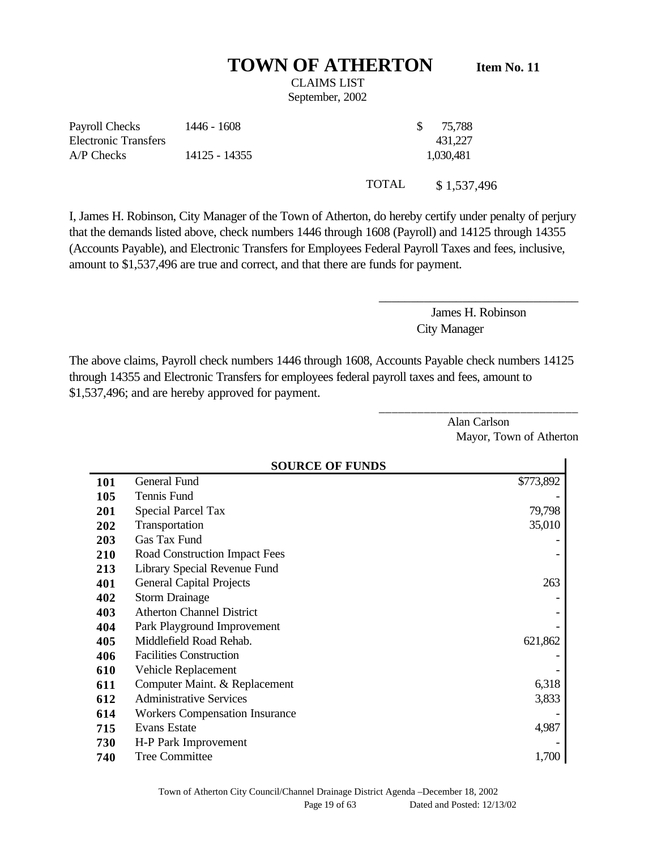# **TOWN OF ATHERTON Item No. 11**

CLAIMS LIST September, 2002

Payroll Checks Electronic Transfers 1446 - 1608 \$ 75,788 431,227 A/P Checks 14125 - 14355 1,030,481

TOTAL \$1,537,496

I, James H. Robinson, City Manager of the Town of Atherton, do hereby certify under penalty of perjury that the demands listed above, check numbers 1446 through 1608 (Payroll) and 14125 through 14355 (Accounts Payable), and Electronic Transfers for Employees Federal Payroll Taxes and fees, inclusive, amount to \$1,537,496 are true and correct, and that there are funds for payment.

> James H. Robinson City Manager

\_\_\_\_\_\_\_\_\_\_\_\_\_\_\_\_\_\_\_\_\_\_\_\_\_\_\_\_\_\_\_

\_\_\_\_\_\_\_\_\_\_\_\_\_\_\_\_\_\_\_\_\_\_\_\_\_\_\_\_\_\_\_

The above claims, Payroll check numbers 1446 through 1608, Accounts Payable check numbers 14125 through 14355 and Electronic Transfers for employees federal payroll taxes and fees, amount to \$1,537,496; and are hereby approved for payment.

> Alan Carlson Mayor, Town of Atherton

|            | <b>SOURCE OF FUNDS</b>                |           |  |  |
|------------|---------------------------------------|-----------|--|--|
| <b>101</b> | General Fund                          | \$773,892 |  |  |
| 105        | Tennis Fund                           |           |  |  |
| 201        | <b>Special Parcel Tax</b>             | 79,798    |  |  |
| 202        | Transportation                        | 35,010    |  |  |
| 203        | Gas Tax Fund                          |           |  |  |
| 210        | Road Construction Impact Fees         |           |  |  |
| 213        | Library Special Revenue Fund          |           |  |  |
| 401        | <b>General Capital Projects</b>       | 263       |  |  |
| 402        | <b>Storm Drainage</b>                 |           |  |  |
| 403        | <b>Atherton Channel District</b>      |           |  |  |
| 404        | Park Playground Improvement           |           |  |  |
| 405        | Middlefield Road Rehab.<br>621,862    |           |  |  |
| 406        | <b>Facilities Construction</b>        |           |  |  |
| 610        | Vehicle Replacement                   |           |  |  |
| 611        | Computer Maint. & Replacement         | 6,318     |  |  |
| 612        | <b>Administrative Services</b>        | 3,833     |  |  |
| 614        | <b>Workers Compensation Insurance</b> |           |  |  |
| 715        | Evans Estate<br>4,987                 |           |  |  |
| 730        | H-P Park Improvement                  |           |  |  |
| 740        | <b>Tree Committee</b>                 | 1,700     |  |  |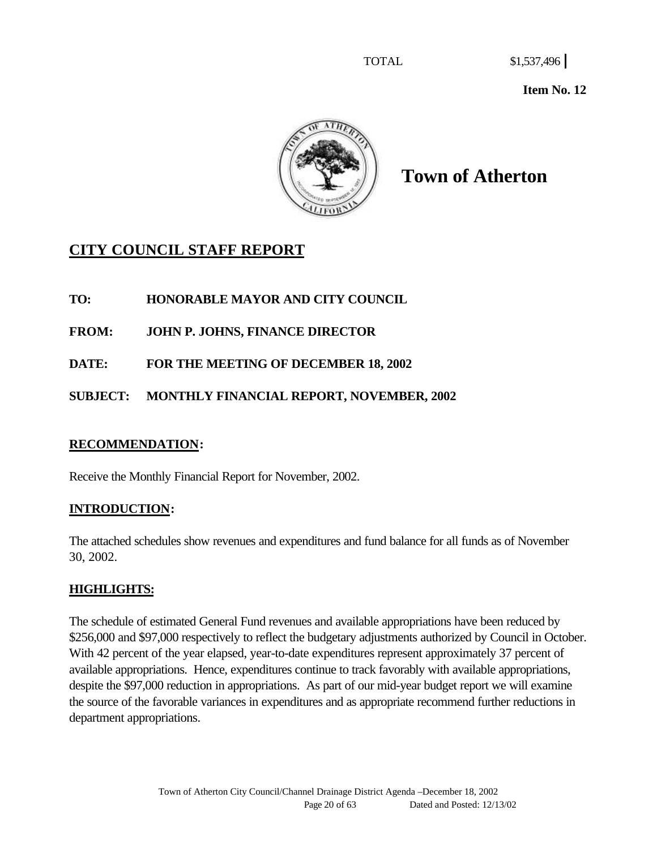**Item No. 12**



**Town of Atherton**

# **CITY COUNCIL STAFF REPORT**

**TO: HONORABLE MAYOR AND CITY COUNCIL**

**FROM: JOHN P. JOHNS, FINANCE DIRECTOR**

**DATE: FOR THE MEETING OF DECEMBER 18, 2002**

**SUBJECT: MONTHLY FINANCIAL REPORT, NOVEMBER, 2002**

## **RECOMMENDATION:**

Receive the Monthly Financial Report for November, 2002.

## **INTRODUCTION:**

The attached schedules show revenues and expenditures and fund balance for all funds as of November 30, 2002.

## **HIGHLIGHTS:**

The schedule of estimated General Fund revenues and available appropriations have been reduced by \$256,000 and \$97,000 respectively to reflect the budgetary adjustments authorized by Council in October. With 42 percent of the year elapsed, year-to-date expenditures represent approximately 37 percent of available appropriations. Hence, expenditures continue to track favorably with available appropriations, despite the \$97,000 reduction in appropriations. As part of our mid-year budget report we will examine the source of the favorable variances in expenditures and as appropriate recommend further reductions in department appropriations.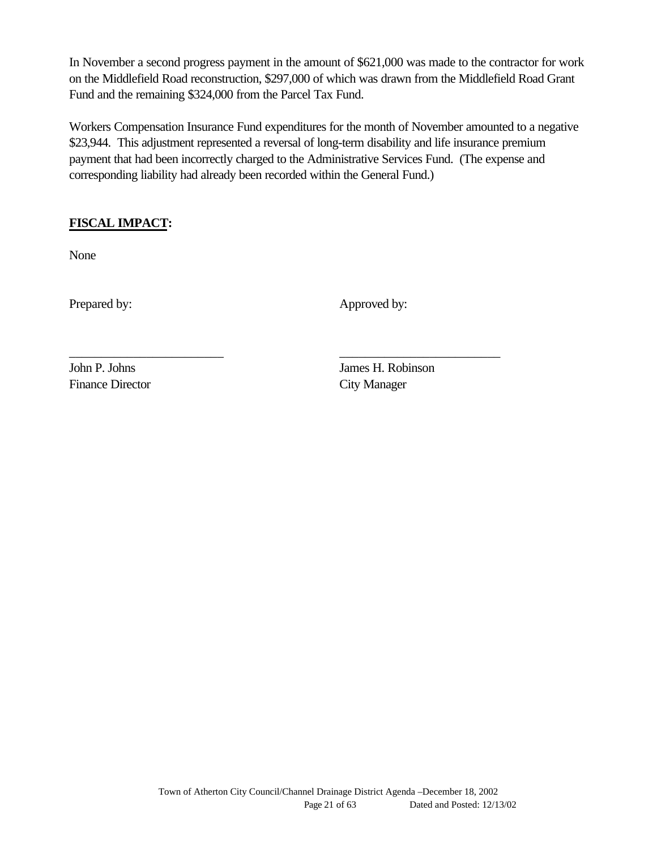In November a second progress payment in the amount of \$621,000 was made to the contractor for work on the Middlefield Road reconstruction, \$297,000 of which was drawn from the Middlefield Road Grant Fund and the remaining \$324,000 from the Parcel Tax Fund.

Workers Compensation Insurance Fund expenditures for the month of November amounted to a negative \$23,944. This adjustment represented a reversal of long-term disability and life insurance premium payment that had been incorrectly charged to the Administrative Services Fund. (The expense and corresponding liability had already been recorded within the General Fund.)

\_\_\_\_\_\_\_\_\_\_\_\_\_\_\_\_\_\_\_\_\_\_\_\_ \_\_\_\_\_\_\_\_\_\_\_\_\_\_\_\_\_\_\_\_\_\_\_\_\_

## **FISCAL IMPACT:**

None

Prepared by: Approved by:

Finance Director City Manager

John P. Johns James H. Robinson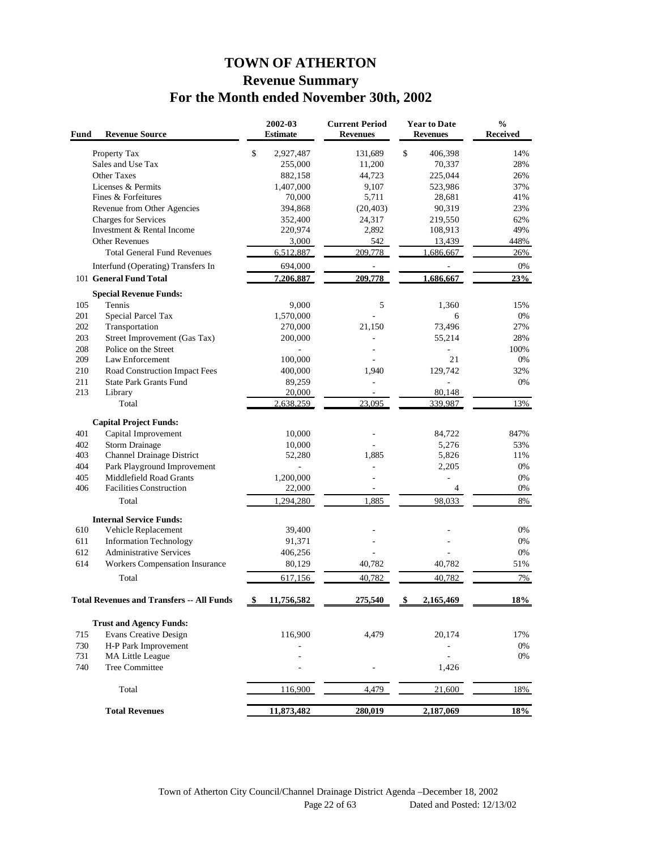## **TOWN OF ATHERTON Revenue Summary For the Month ended November 30th, 2002**

| <b>Revenue Source</b><br>Fund                                  | 2002-03<br><b>Estimate</b> | <b>Current Period</b><br><b>Revenues</b> | <b>Year to Date</b><br><b>Revenues</b> | $\frac{0}{0}$<br><b>Received</b> |
|----------------------------------------------------------------|----------------------------|------------------------------------------|----------------------------------------|----------------------------------|
| Property Tax                                                   | \$<br>2,927,487            | 131,689                                  | \$<br>406,398                          | 14%                              |
| Sales and Use Tax                                              | 255,000                    | 11,200                                   | 70,337                                 | 28%                              |
| <b>Other Taxes</b>                                             | 882,158                    | 44,723                                   | 225,044                                | 26%                              |
| Licenses & Permits                                             | 1,407,000                  | 9,107                                    | 523,986                                | 37%                              |
| Fines & Forfeitures                                            | 70,000                     | 5,711                                    | 28,681                                 | 41%                              |
| Revenue from Other Agencies                                    | 394,868                    | (20, 403)                                | 90,319                                 | 23%                              |
| <b>Charges for Services</b>                                    | 352,400                    | 24,317                                   | 219,550                                | 62%                              |
| Investment & Rental Income                                     | 220,974                    | 2,892                                    | 108,913                                | 49%                              |
| <b>Other Revenues</b>                                          | 3,000                      | 542                                      | 13,439                                 | 448%                             |
| <b>Total General Fund Revenues</b>                             | 6,512,887                  | 209,778                                  | 1.686.667                              | 26%                              |
| Interfund (Operating) Transfers In                             | 694,000                    | L,                                       | ÷                                      | 0%                               |
| 101 General Fund Total                                         | 7,206,887                  | 209,778                                  | 1,686,667                              | 23%                              |
|                                                                |                            |                                          |                                        |                                  |
| <b>Special Revenue Funds:</b>                                  |                            |                                          |                                        |                                  |
| 105<br>Tennis                                                  | 9,000                      | 5                                        | 1,360                                  | 15%                              |
| 201<br>Special Parcel Tax                                      | 1,570,000                  |                                          | 6                                      | 0%                               |
| 202<br>Transportation                                          | 270,000                    | 21,150                                   | 73,496                                 | 27%                              |
| 203<br>Street Improvement (Gas Tax)                            | 200,000                    |                                          | 55,214                                 | 28%                              |
| 208<br>Police on the Street                                    |                            |                                          |                                        | 100%                             |
| 209<br>Law Enforcement                                         | 100,000                    |                                          | 21                                     | 0%                               |
| 210<br>Road Construction Impact Fees                           | 400,000                    | 1,940                                    | 129,742                                | 32%                              |
| <b>State Park Grants Fund</b><br>211                           | 89,259                     |                                          | ä,                                     | 0%                               |
| 213<br>Library                                                 | 20,000                     |                                          | 80,148                                 |                                  |
| Total                                                          | 2,638,259                  | 23,095                                   | 339,987                                | 13%                              |
| <b>Capital Project Funds:</b>                                  |                            |                                          |                                        |                                  |
| 401<br>Capital Improvement                                     | 10,000                     |                                          | 84,722                                 | 847%                             |
| 402<br><b>Storm Drainage</b>                                   | 10,000                     |                                          | 5,276                                  | 53%                              |
| 403<br>Channel Drainage District                               | 52,280                     | 1,885                                    | 5,826                                  | 11%                              |
| 404<br>Park Playground Improvement                             |                            |                                          | 2,205                                  | 0%                               |
| 405<br>Middlefield Road Grants                                 | 1,200,000                  |                                          |                                        | 0%                               |
| 406<br><b>Facilities Construction</b>                          | 22,000                     |                                          | 4                                      | 0%                               |
| Total                                                          | 1,294,280                  | 1.885                                    | 98,033                                 | 8%                               |
| <b>Internal Service Funds:</b>                                 |                            |                                          |                                        |                                  |
| 610<br>Vehicle Replacement                                     | 39,400                     |                                          |                                        | 0%                               |
| 611<br><b>Information Technology</b>                           | 91,371                     |                                          |                                        | 0%                               |
| <b>Administrative Services</b><br>612                          | 406,256                    |                                          |                                        | 0%                               |
| 614<br><b>Workers Compensation Insurance</b>                   | 80,129                     | 40,782                                   | 40,782                                 | 51%                              |
| Total                                                          | 617,156                    | 40,782                                   | 40.782                                 | 7%                               |
| <b>Total Revenues and Transfers -- All Funds</b>               | \$<br>11,756,582           | 275,540                                  | \$<br>2,165,469                        | 18%                              |
|                                                                |                            |                                          |                                        |                                  |
| <b>Trust and Agency Funds:</b><br><b>Evans Creative Design</b> |                            |                                          |                                        |                                  |
| 715                                                            | 116,900                    | 4,479                                    | 20,174                                 | 17%                              |
| 730<br>H-P Park Improvement<br>731<br>MA Little League         |                            |                                          |                                        | 0%<br>0%                         |
| 740<br>Tree Committee                                          |                            |                                          | 1,426                                  |                                  |
|                                                                |                            |                                          |                                        |                                  |
| Total                                                          | 116,900                    | 4,479                                    | 21,600                                 | 18%                              |
| <b>Total Revenues</b>                                          | 11,873,482                 | 280,019                                  | 2,187,069                              | 18%                              |
|                                                                |                            |                                          |                                        |                                  |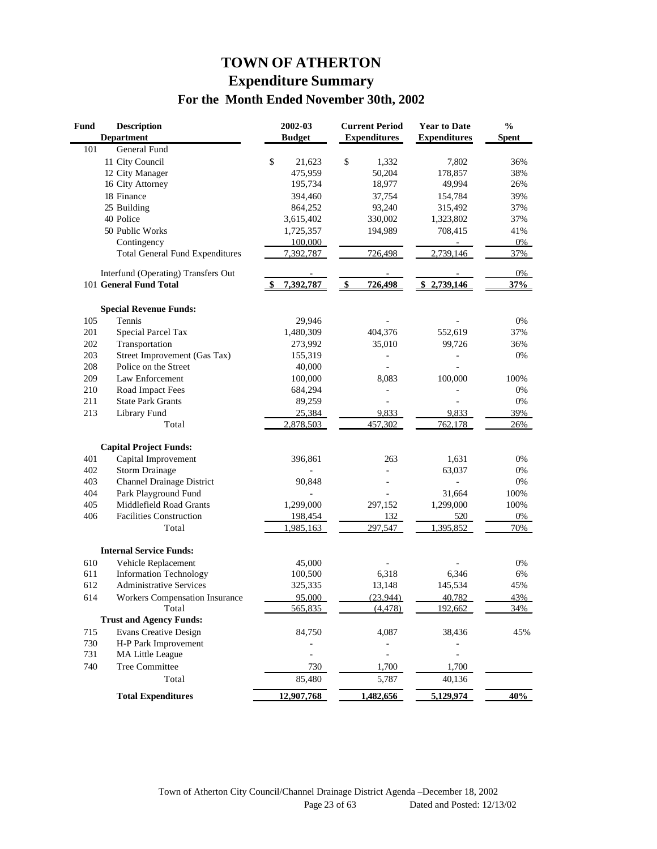## **TOWN OF ATHERTON Expenditure Summary For the Month Ended November 30th, 2002**

| <b>Fund</b> | <b>Description</b><br><b>Department</b> | 2002-03<br><b>Budget</b> | <b>Current Period</b><br><b>Expenditures</b>  | <b>Year to Date</b><br><b>Expenditures</b> | $\frac{0}{0}$<br><b>Spent</b> |
|-------------|-----------------------------------------|--------------------------|-----------------------------------------------|--------------------------------------------|-------------------------------|
| 101         | General Fund                            |                          |                                               |                                            |                               |
|             | 11 City Council                         | \$<br>21,623             | \$<br>1,332                                   | 7,802                                      | 36%                           |
|             | 12 City Manager                         | 475,959                  | 50,204                                        | 178,857                                    | 38%                           |
|             | 16 City Attorney                        | 195,734                  | 18,977                                        | 49,994                                     | 26%                           |
|             | 18 Finance                              | 394,460                  | 37,754                                        | 154,784                                    | 39%                           |
|             | 25 Building                             | 864,252                  | 93,240                                        | 315,492                                    | 37%                           |
|             | 40 Police                               | 3,615,402                | 330,002                                       | 1,323,802                                  | 37%                           |
|             | 50 Public Works                         | 1,725,357                | 194,989                                       | 708,415                                    | 41%                           |
|             | Contingency                             | 100,000                  |                                               |                                            | 0%                            |
|             | <b>Total General Fund Expenditures</b>  | 7,392,787                | 726,498                                       | 2,739,146                                  | 37%                           |
|             | Interfund (Operating) Transfers Out     |                          |                                               |                                            | $0\%$                         |
|             | 101 General Fund Total                  | 7,392,787                | \$<br>726,498                                 | \$2,739,146                                | 37%                           |
|             | <b>Special Revenue Funds:</b>           |                          |                                               |                                            |                               |
| 105         | Tennis                                  | 29,946                   |                                               |                                            | 0%                            |
| 201         | Special Parcel Tax                      | 1,480,309                | 404,376                                       | 552,619                                    | 37%                           |
| 202         | Transportation                          | 273,992                  | 35,010                                        | 99,726                                     | 36%                           |
| 203         | Street Improvement (Gas Tax)            | 155,319                  |                                               |                                            | 0%                            |
| 208         | Police on the Street                    | 40,000                   |                                               |                                            |                               |
| 209         | Law Enforcement                         | 100,000                  | 8,083                                         | 100,000                                    | 100%                          |
| 210         | Road Impact Fees                        | 684,294                  | $\overline{a}$                                |                                            | 0%                            |
| 211         | <b>State Park Grants</b>                | 89,259                   |                                               |                                            | 0%                            |
| 213         | Library Fund                            | 25,384                   | 9,833                                         | 9,833                                      | 39%                           |
|             | Total                                   | 2,878,503                | 457,302                                       | 762,178                                    | 26%                           |
|             | <b>Capital Project Funds:</b>           |                          |                                               |                                            |                               |
| 401         | Capital Improvement                     | 396,861                  | 263                                           | 1,631                                      | 0%                            |
| 402         | <b>Storm Drainage</b>                   |                          |                                               | 63,037                                     | 0%                            |
| 403         | Channel Drainage District               | 90,848                   |                                               |                                            | 0%                            |
| 404         | Park Playground Fund                    |                          |                                               | 31,664                                     | 100%                          |
| 405         | Middlefield Road Grants                 | 1,299,000                | 297,152                                       | 1,299,000                                  | 100%                          |
| 406         | <b>Facilities Construction</b>          | 198,454                  | 132                                           | 520                                        | 0%                            |
|             | Total                                   | 1,985,163                | 297,547                                       | 1,395,852                                  | 70%                           |
|             | <b>Internal Service Funds:</b>          |                          |                                               |                                            |                               |
| 610         | Vehicle Replacement                     | 45,000                   |                                               |                                            | 0%                            |
| 611         | <b>Information Technology</b>           | 100,500                  | 6,318                                         | 6,346                                      | 6%                            |
| 612         | <b>Administrative Services</b>          | 325,335                  | 13,148                                        | 145,534                                    | 45%                           |
| 614         |                                         | 95.000                   | (23.944)                                      | 40.782                                     | 43%                           |
|             | Workers Compensation Insurance<br>Total | 565,835                  | (4, 478)                                      | 192,662                                    | 34%                           |
|             | <b>Trust and Agency Funds:</b>          |                          |                                               |                                            |                               |
|             | <b>Evans Creative Design</b>            |                          |                                               |                                            |                               |
| 715<br>730  | H-P Park Improvement                    | 84,750                   | 4,087                                         | 38,436                                     | 45%                           |
| 731         | MA Little League                        | $\overline{a}$           | $\qquad \qquad \blacksquare$<br>$\frac{1}{2}$ |                                            |                               |
| 740         | <b>Tree Committee</b>                   | 730                      | 1,700                                         | 1,700                                      |                               |
|             | Total                                   | 85,480                   | 5,787                                         | 40,136                                     |                               |
|             | <b>Total Expenditures</b>               | 12,907,768               | 1,482,656                                     | 5,129,974                                  | 40%                           |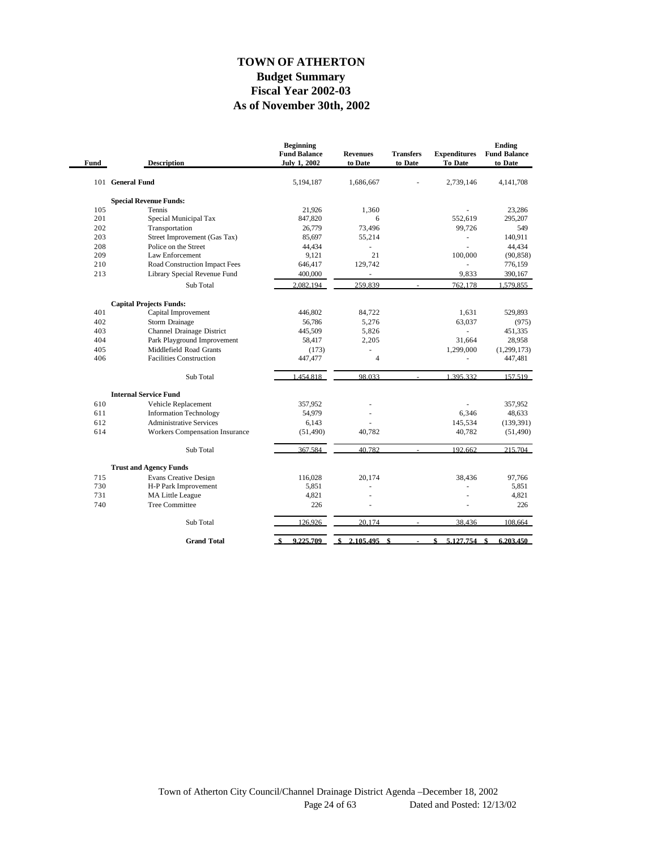#### **As of November 30th, 2002 Fiscal Year 2002-03 Budget Summary TOWN OF ATHERTON**

| Fund | <b>Description</b>                    | <b>Beginning</b><br><b>Fund Balance</b><br><b>July 1, 2002</b> | <b>Revenues</b><br>to Date | <b>Transfers</b><br>to Date | <b>Expenditures</b><br>To Date | Ending<br><b>Fund Balance</b><br>to Date |
|------|---------------------------------------|----------------------------------------------------------------|----------------------------|-----------------------------|--------------------------------|------------------------------------------|
|      | 101 General Fund                      | 5,194,187                                                      | 1,686,667                  |                             | 2,739,146                      | 4, 141, 708                              |
|      | <b>Special Revenue Funds:</b>         |                                                                |                            |                             |                                |                                          |
| 105  | <b>Tennis</b>                         | 21,926                                                         | 1,360                      |                             |                                | 23,286                                   |
| 201  | Special Municipal Tax                 | 847,820                                                        | 6                          |                             | 552,619                        | 295,207                                  |
| 202  | Transportation                        | 26,779                                                         | 73,496                     |                             | 99,726                         | 549                                      |
| 203  | Street Improvement (Gas Tax)          | 85,697                                                         | 55,214                     |                             |                                | 140,911                                  |
| 208  | Police on the Street                  | 44,434                                                         |                            |                             |                                | 44.434                                   |
| 209  | Law Enforcement                       | 9,121                                                          | 21                         |                             | 100,000                        | (90, 858)                                |
| 210  | Road Construction Impact Fees         | 646,417                                                        | 129,742                    |                             |                                | 776,159                                  |
| 213  | Library Special Revenue Fund          | 400,000                                                        | ä,                         |                             | 9,833                          | 390,167                                  |
|      | Sub Total                             | 2.082.194                                                      | 259,839                    |                             | 762,178                        | 1,579,855                                |
|      | <b>Capital Projects Funds:</b>        |                                                                |                            |                             |                                |                                          |
| 401  | Capital Improvement                   | 446,802                                                        | 84,722                     |                             | 1,631                          | 529,893                                  |
| 402  | Storm Drainage                        | 56,786                                                         | 5.276                      |                             | 63.037                         | (975)                                    |
| 403  | Channel Drainage District             | 445,509                                                        | 5,826                      |                             | ÷.                             | 451,335                                  |
| 404  | Park Playground Improvement           | 58,417                                                         | 2,205                      |                             | 31,664                         | 28,958                                   |
| 405  | Middlefield Road Grants               | (173)                                                          |                            |                             | 1.299.000                      | (1, 299, 173)                            |
| 406  | <b>Facilities Construction</b>        | 447,477                                                        | $\overline{4}$             |                             | ÷,                             | 447,481                                  |
|      | Sub Total                             | 1.454.818                                                      | 98.033                     |                             | 1.395.332                      | 157.519                                  |
|      | <b>Internal Service Fund</b>          |                                                                |                            |                             |                                |                                          |
| 610  | Vehicle Replacement                   | 357,952                                                        |                            |                             |                                | 357,952                                  |
| 611  | <b>Information Technology</b>         | 54,979                                                         |                            |                             | 6,346                          | 48,633                                   |
| 612  | <b>Administrative Services</b>        | 6.143                                                          |                            |                             | 145,534                        | (139,391)                                |
| 614  | <b>Workers Compensation Insurance</b> | (51, 490)                                                      | 40,782                     |                             | 40,782                         | (51, 490)                                |
|      | Sub Total                             | 367.584                                                        | 40.782                     |                             | 192,662                        | 215,704                                  |
|      | <b>Trust and Agency Funds</b>         |                                                                |                            |                             |                                |                                          |
| 715  | <b>Evans Creative Design</b>          | 116,028                                                        | 20,174                     |                             | 38,436                         | 97,766                                   |
| 730  | H-P Park Improvement                  | 5,851                                                          |                            |                             |                                | 5,851                                    |
| 731  | MA Little League                      | 4,821                                                          |                            |                             |                                | 4,821                                    |
| 740  | <b>Tree Committee</b>                 | 226                                                            |                            |                             |                                | 226                                      |
|      | Sub Total                             | 126,926                                                        | 20,174                     | $\sim$                      | 38,436                         | 108,664                                  |
|      | <b>Grand Total</b>                    | 9.225.709<br>-\$                                               | 2.105.495<br>\$            | \$                          | \$<br>5.127.754                | \$<br>6.203.450                          |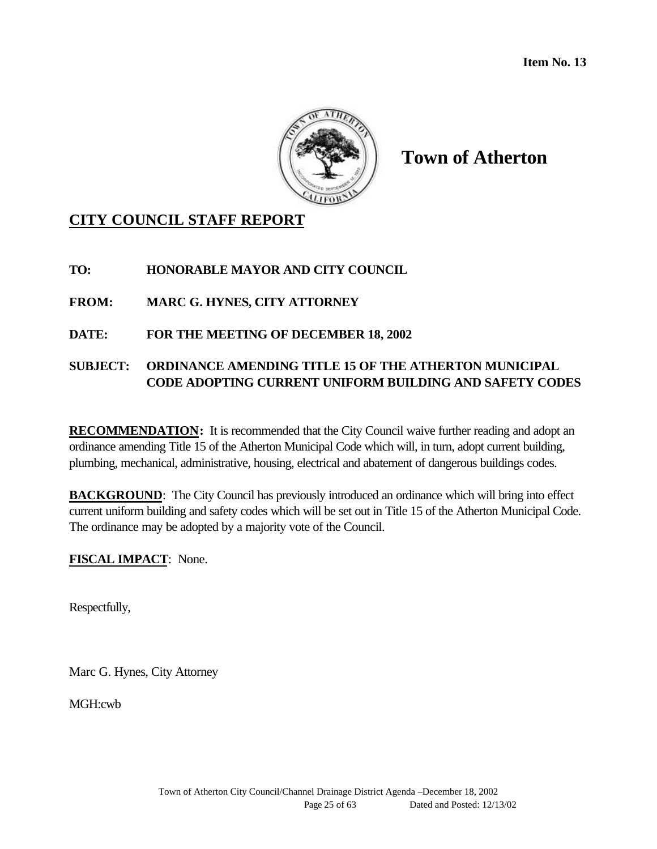

## **CITY COUNCIL STAFF REPORT**

**TO: HONORABLE MAYOR AND CITY COUNCIL**

**FROM: MARC G. HYNES, CITY ATTORNEY**

**DATE: FOR THE MEETING OF DECEMBER 18, 2002**

## **SUBJECT: ORDINANCE AMENDING TITLE 15 OF THE ATHERTON MUNICIPAL CODE ADOPTING CURRENT UNIFORM BUILDING AND SAFETY CODES**

**RECOMMENDATION:** It is recommended that the City Council waive further reading and adopt an ordinance amending Title 15 of the Atherton Municipal Code which will, in turn, adopt current building, plumbing, mechanical, administrative, housing, electrical and abatement of dangerous buildings codes.

**BACKGROUND:** The City Council has previously introduced an ordinance which will bring into effect current uniform building and safety codes which will be set out in Title 15 of the Atherton Municipal Code. The ordinance may be adopted by a majority vote of the Council.

**FISCAL IMPACT**: None.

Respectfully,

Marc G. Hynes, City Attorney

MGH:cwb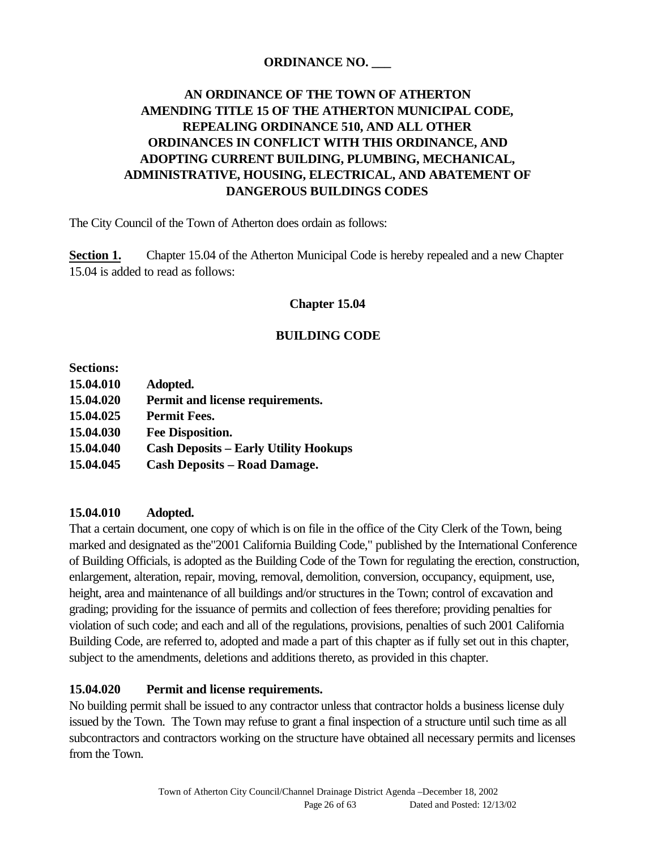## **ORDINANCE NO. \_\_\_**

## **AN ORDINANCE OF THE TOWN OF ATHERTON AMENDING TITLE 15 OF THE ATHERTON MUNICIPAL CODE, REPEALING ORDINANCE 510, AND ALL OTHER ORDINANCES IN CONFLICT WITH THIS ORDINANCE, AND ADOPTING CURRENT BUILDING, PLUMBING, MECHANICAL, ADMINISTRATIVE, HOUSING, ELECTRICAL, AND ABATEMENT OF DANGEROUS BUILDINGS CODES**

The City Council of the Town of Atherton does ordain as follows:

**Section 1.** Chapter 15.04 of the Atherton Municipal Code is hereby repealed and a new Chapter 15.04 is added to read as follows:

#### **Chapter 15.04**

#### **BUILDING CODE**

| <b>Sections:</b> |                                              |
|------------------|----------------------------------------------|
| 15.04.010        | Adopted.                                     |
| 15.04.020        | Permit and license requirements.             |
| 15.04.025        | <b>Permit Fees.</b>                          |
| 15.04.030        | <b>Fee Disposition.</b>                      |
| 15.04.040        | <b>Cash Deposits – Early Utility Hookups</b> |
| 15.04.045        | <b>Cash Deposits - Road Damage.</b>          |

#### **15.04.010 Adopted.**

That a certain document, one copy of which is on file in the office of the City Clerk of the Town, being marked and designated as the"2001 California Building Code," published by the International Conference of Building Officials, is adopted as the Building Code of the Town for regulating the erection, construction, enlargement, alteration, repair, moving, removal, demolition, conversion, occupancy, equipment, use, height, area and maintenance of all buildings and/or structures in the Town; control of excavation and grading; providing for the issuance of permits and collection of fees therefore; providing penalties for violation of such code; and each and all of the regulations, provisions, penalties of such 2001 California Building Code, are referred to, adopted and made a part of this chapter as if fully set out in this chapter, subject to the amendments, deletions and additions thereto, as provided in this chapter.

#### **15.04.020 Permit and license requirements.**

No building permit shall be issued to any contractor unless that contractor holds a business license duly issued by the Town. The Town may refuse to grant a final inspection of a structure until such time as all subcontractors and contractors working on the structure have obtained all necessary permits and licenses from the Town.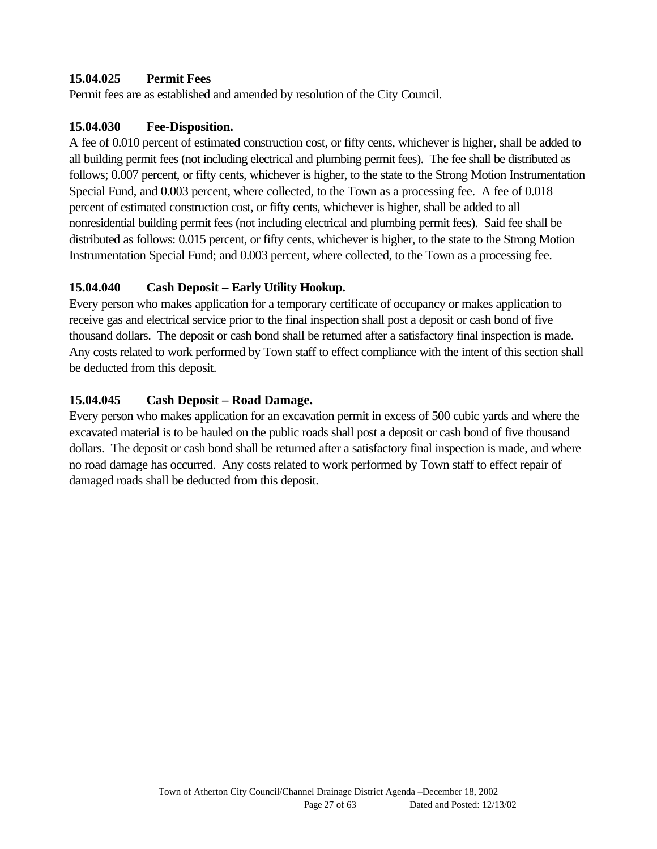## **15.04.025 Permit Fees**

Permit fees are as established and amended by resolution of the City Council.

#### **15.04.030 Fee-Disposition.**

A fee of 0.010 percent of estimated construction cost, or fifty cents, whichever is higher, shall be added to all building permit fees (not including electrical and plumbing permit fees). The fee shall be distributed as follows; 0.007 percent, or fifty cents, whichever is higher, to the state to the Strong Motion Instrumentation Special Fund, and 0.003 percent, where collected, to the Town as a processing fee. A fee of 0.018 percent of estimated construction cost, or fifty cents, whichever is higher, shall be added to all nonresidential building permit fees (not including electrical and plumbing permit fees). Said fee shall be distributed as follows: 0.015 percent, or fifty cents, whichever is higher, to the state to the Strong Motion Instrumentation Special Fund; and 0.003 percent, where collected, to the Town as a processing fee.

## **15.04.040 Cash Deposit – Early Utility Hookup.**

Every person who makes application for a temporary certificate of occupancy or makes application to receive gas and electrical service prior to the final inspection shall post a deposit or cash bond of five thousand dollars. The deposit or cash bond shall be returned after a satisfactory final inspection is made. Any costs related to work performed by Town staff to effect compliance with the intent of this section shall be deducted from this deposit.

## **15.04.045 Cash Deposit – Road Damage.**

Every person who makes application for an excavation permit in excess of 500 cubic yards and where the excavated material is to be hauled on the public roads shall post a deposit or cash bond of five thousand dollars. The deposit or cash bond shall be returned after a satisfactory final inspection is made, and where no road damage has occurred. Any costs related to work performed by Town staff to effect repair of damaged roads shall be deducted from this deposit.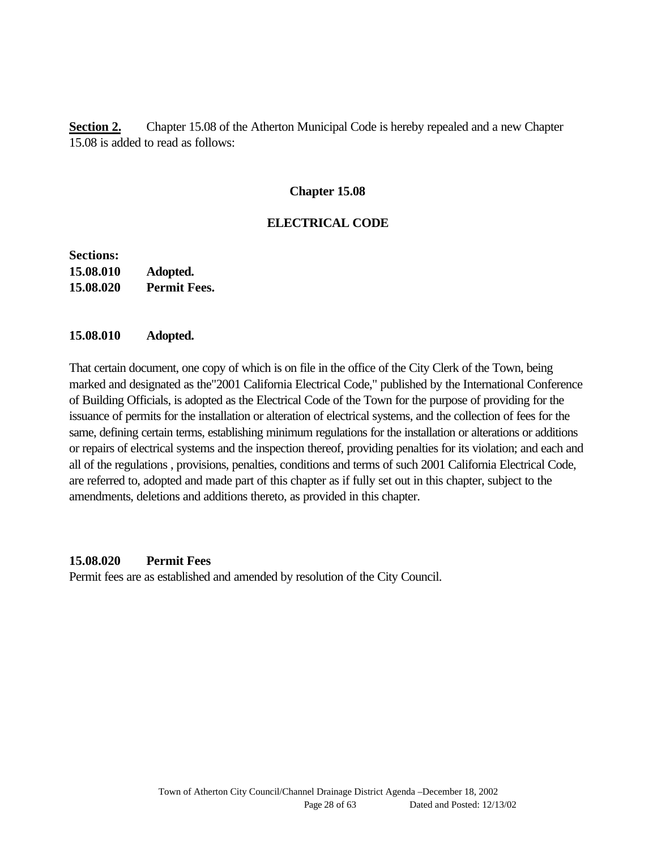**Section 2.** Chapter 15.08 of the Atherton Municipal Code is hereby repealed and a new Chapter 15.08 is added to read as follows:

#### **Chapter 15.08**

#### **ELECTRICAL CODE**

**Sections: 15.08.010 Adopted. 15.08.020 Permit Fees.**

#### **15.08.010 Adopted.**

That certain document, one copy of which is on file in the office of the City Clerk of the Town, being marked and designated as the"2001 California Electrical Code," published by the International Conference of Building Officials, is adopted as the Electrical Code of the Town for the purpose of providing for the issuance of permits for the installation or alteration of electrical systems, and the collection of fees for the same, defining certain terms, establishing minimum regulations for the installation or alterations or additions or repairs of electrical systems and the inspection thereof, providing penalties for its violation; and each and all of the regulations , provisions, penalties, conditions and terms of such 2001 California Electrical Code, are referred to, adopted and made part of this chapter as if fully set out in this chapter, subject to the amendments, deletions and additions thereto, as provided in this chapter.

#### **15.08.020 Permit Fees**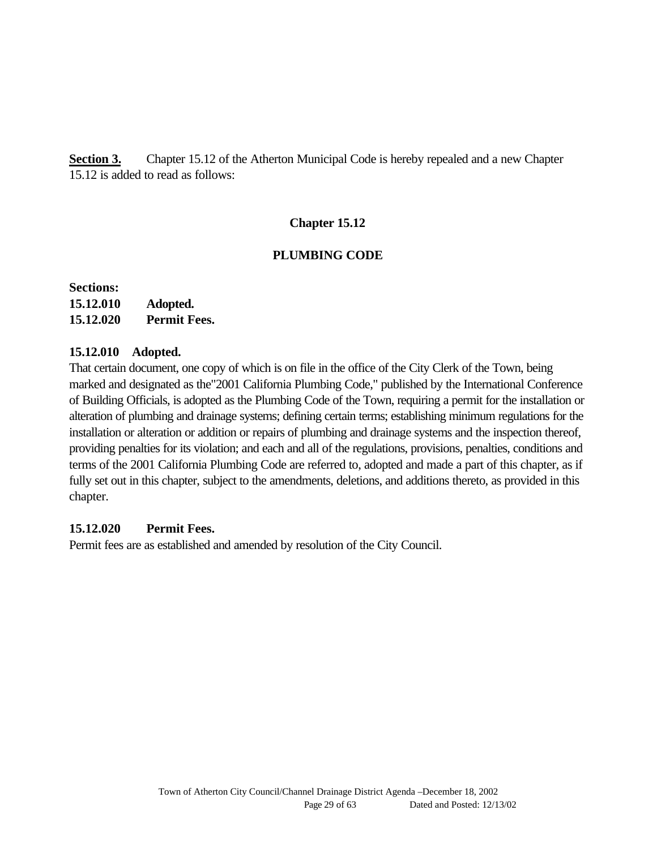**Section 3.** Chapter 15.12 of the Atherton Municipal Code is hereby repealed and a new Chapter 15.12 is added to read as follows:

## **Chapter 15.12**

#### **PLUMBING CODE**

**Sections: 15.12.010 Adopted. 15.12.020 Permit Fees.**

#### **15.12.010 Adopted.**

That certain document, one copy of which is on file in the office of the City Clerk of the Town, being marked and designated as the"2001 California Plumbing Code," published by the International Conference of Building Officials, is adopted as the Plumbing Code of the Town, requiring a permit for the installation or alteration of plumbing and drainage systems; defining certain terms; establishing minimum regulations for the installation or alteration or addition or repairs of plumbing and drainage systems and the inspection thereof, providing penalties for its violation; and each and all of the regulations, provisions, penalties, conditions and terms of the 2001 California Plumbing Code are referred to, adopted and made a part of this chapter, as if fully set out in this chapter, subject to the amendments, deletions, and additions thereto, as provided in this chapter.

#### **15.12.020 Permit Fees.**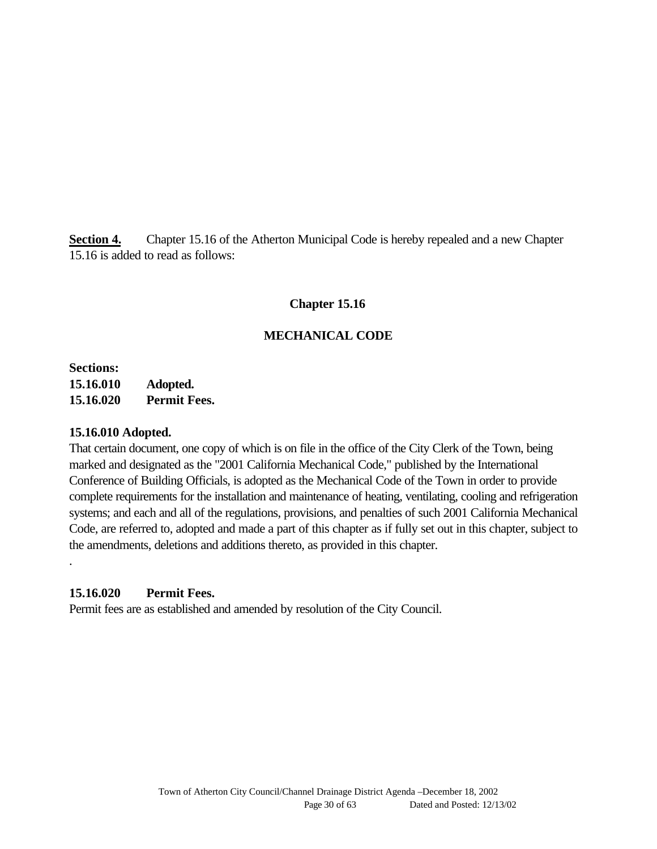**Section 4.** Chapter 15.16 of the Atherton Municipal Code is hereby repealed and a new Chapter 15.16 is added to read as follows:

## **Chapter 15.16**

## **MECHANICAL CODE**

**Sections: 15.16.010 Adopted. 15.16.020 Permit Fees.**

#### **15.16.010 Adopted.**

.

That certain document, one copy of which is on file in the office of the City Clerk of the Town, being marked and designated as the "2001 California Mechanical Code," published by the International Conference of Building Officials, is adopted as the Mechanical Code of the Town in order to provide complete requirements for the installation and maintenance of heating, ventilating, cooling and refrigeration systems; and each and all of the regulations, provisions, and penalties of such 2001 California Mechanical Code, are referred to, adopted and made a part of this chapter as if fully set out in this chapter, subject to the amendments, deletions and additions thereto, as provided in this chapter.

#### **15.16.020 Permit Fees.**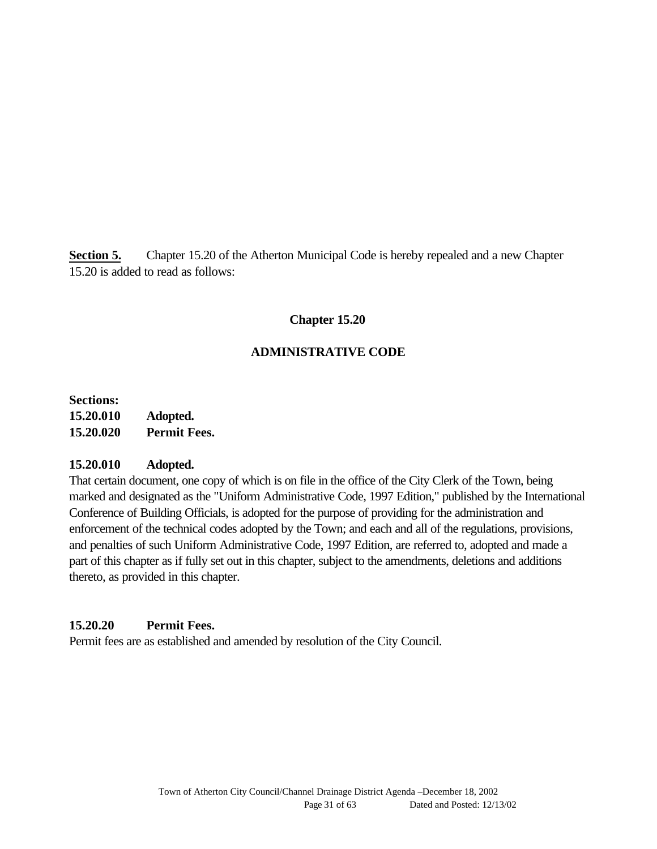**Section 5.** Chapter 15.20 of the Atherton Municipal Code is hereby repealed and a new Chapter 15.20 is added to read as follows:

## **Chapter 15.20**

## **ADMINISTRATIVE CODE**

**Sections: 15.20.010 Adopted. 15.20.020 Permit Fees.**

#### **15.20.010 Adopted.**

That certain document, one copy of which is on file in the office of the City Clerk of the Town, being marked and designated as the "Uniform Administrative Code, 1997 Edition," published by the International Conference of Building Officials, is adopted for the purpose of providing for the administration and enforcement of the technical codes adopted by the Town; and each and all of the regulations, provisions, and penalties of such Uniform Administrative Code, 1997 Edition, are referred to, adopted and made a part of this chapter as if fully set out in this chapter, subject to the amendments, deletions and additions thereto, as provided in this chapter.

#### **15.20.20 Permit Fees.**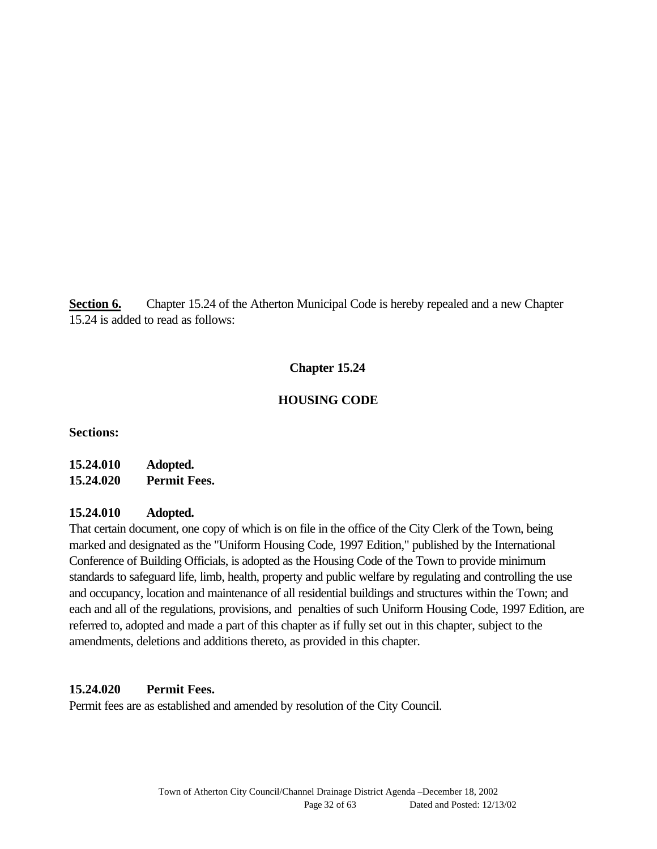**Section 6.** Chapter 15.24 of the Atherton Municipal Code is hereby repealed and a new Chapter 15.24 is added to read as follows:

## **Chapter 15.24**

## **HOUSING CODE**

**Sections:**

## **15.24.010 Adopted. 15.24.020 Permit Fees.**

#### **15.24.010 Adopted.**

That certain document, one copy of which is on file in the office of the City Clerk of the Town, being marked and designated as the "Uniform Housing Code, 1997 Edition," published by the International Conference of Building Officials, is adopted as the Housing Code of the Town to provide minimum standards to safeguard life, limb, health, property and public welfare by regulating and controlling the use and occupancy, location and maintenance of all residential buildings and structures within the Town; and each and all of the regulations, provisions, and penalties of such Uniform Housing Code, 1997 Edition, are referred to, adopted and made a part of this chapter as if fully set out in this chapter, subject to the amendments, deletions and additions thereto, as provided in this chapter.

## **15.24.020 Permit Fees.**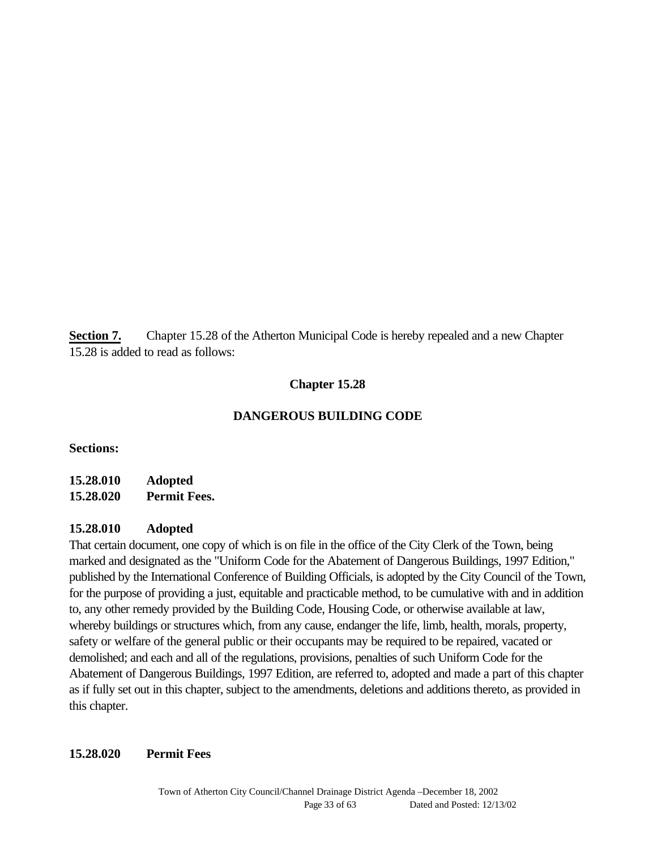**Section 7.** Chapter 15.28 of the Atherton Municipal Code is hereby repealed and a new Chapter 15.28 is added to read as follows:

## **Chapter 15.28**

## **DANGEROUS BUILDING CODE**

**Sections:**

**15.28.010 Adopted 15.28.020 Permit Fees.**

#### **15.28.010 Adopted**

That certain document, one copy of which is on file in the office of the City Clerk of the Town, being marked and designated as the "Uniform Code for the Abatement of Dangerous Buildings, 1997 Edition," published by the International Conference of Building Officials, is adopted by the City Council of the Town, for the purpose of providing a just, equitable and practicable method, to be cumulative with and in addition to, any other remedy provided by the Building Code, Housing Code, or otherwise available at law, whereby buildings or structures which, from any cause, endanger the life, limb, health, morals, property, safety or welfare of the general public or their occupants may be required to be repaired, vacated or demolished; and each and all of the regulations, provisions, penalties of such Uniform Code for the Abatement of Dangerous Buildings, 1997 Edition, are referred to, adopted and made a part of this chapter as if fully set out in this chapter, subject to the amendments, deletions and additions thereto, as provided in this chapter.

#### **15.28.020 Permit Fees**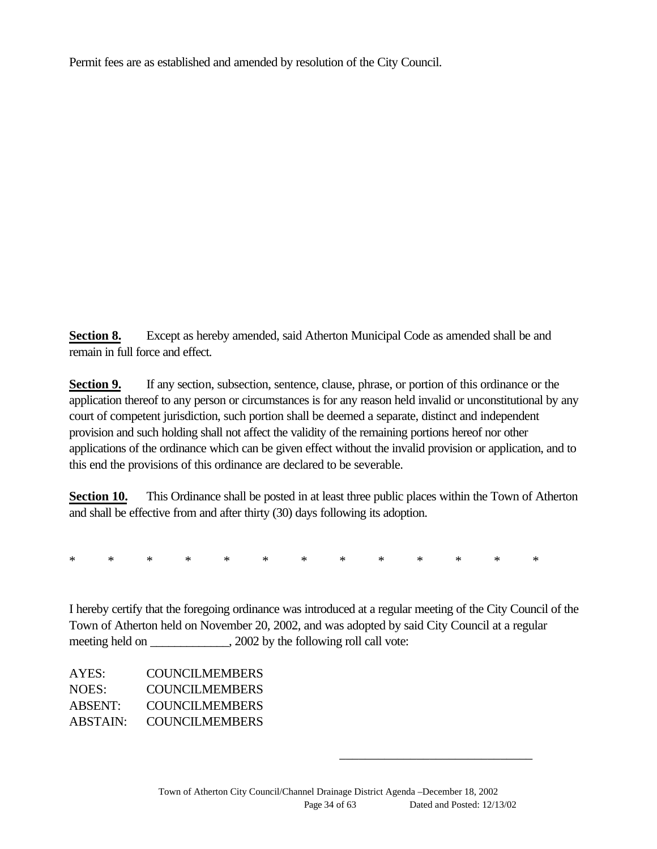Permit fees are as established and amended by resolution of the City Council.

**Section 8.** Except as hereby amended, said Atherton Municipal Code as amended shall be and remain in full force and effect.

**Section 9.** If any section, subsection, sentence, clause, phrase, or portion of this ordinance or the application thereof to any person or circumstances is for any reason held invalid or unconstitutional by any court of competent jurisdiction, such portion shall be deemed a separate, distinct and independent provision and such holding shall not affect the validity of the remaining portions hereof nor other applications of the ordinance which can be given effect without the invalid provision or application, and to this end the provisions of this ordinance are declared to be severable.

**Section 10.** This Ordinance shall be posted in at least three public places within the Town of Atherton and shall be effective from and after thirty (30) days following its adoption.

\* \* \* \* \* \* \* \* \* \* \* \* \*

I hereby certify that the foregoing ordinance was introduced at a regular meeting of the City Council of the Town of Atherton held on November 20, 2002, and was adopted by said City Council at a regular meeting held on \_\_\_\_\_\_\_\_\_\_\_\_, 2002 by the following roll call vote:

| AYES:          | <b>COUNCILMEMBERS</b> |
|----------------|-----------------------|
| NOES:          | COUNCIL MEMBERS       |
| <b>ABSENT:</b> | <b>COUNCILMEMBERS</b> |
| ABSTAIN:       | <b>COUNCILMEMBERS</b> |

\_\_\_\_\_\_\_\_\_\_\_\_\_\_\_\_\_\_\_\_\_\_\_\_\_\_\_\_\_\_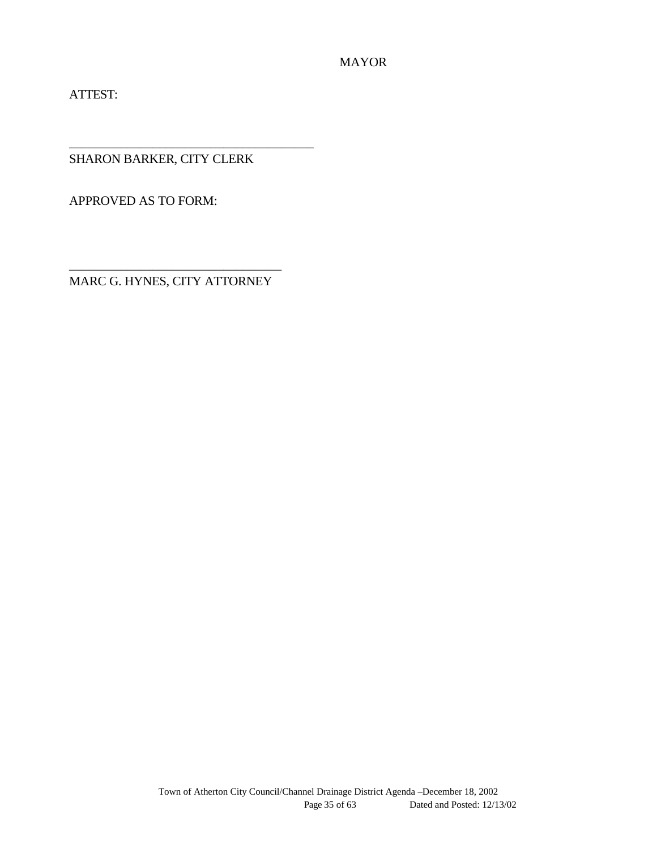ATTEST:

SHARON BARKER, CITY CLERK

\_\_\_\_\_\_\_\_\_\_\_\_\_\_\_\_\_\_\_\_\_\_\_\_\_\_\_\_\_\_\_\_\_\_\_\_\_\_

APPROVED AS TO FORM:

\_\_\_\_\_\_\_\_\_\_\_\_\_\_\_\_\_\_\_\_\_\_\_\_\_\_\_\_\_\_\_\_\_ MARC G. HYNES, CITY ATTORNEY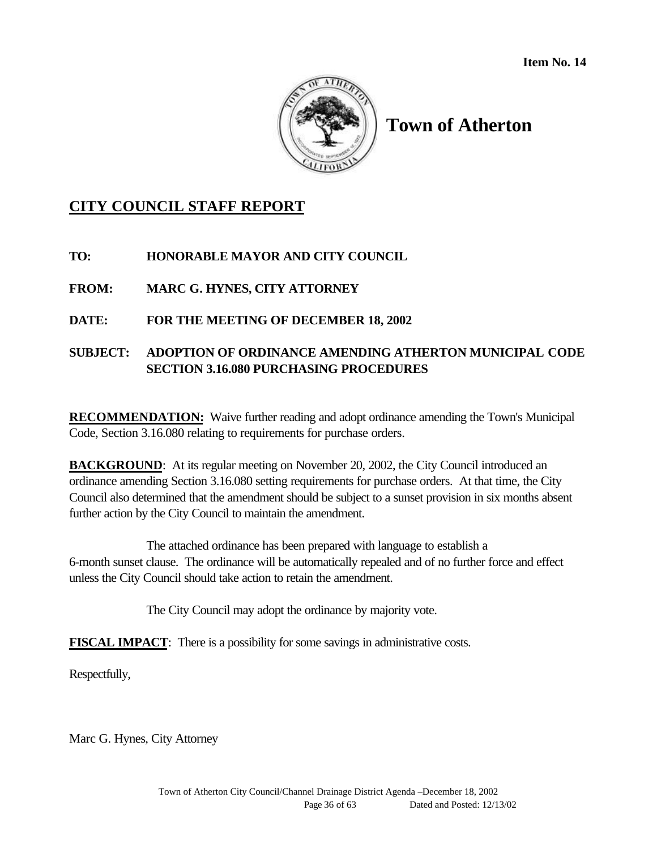

## **CITY COUNCIL STAFF REPORT**

**TO: HONORABLE MAYOR AND CITY COUNCIL**

**FROM: MARC G. HYNES, CITY ATTORNEY**

## **DATE: FOR THE MEETING OF DECEMBER 18, 2002**

## **SUBJECT: ADOPTION OF ORDINANCE AMENDING ATHERTON MUNICIPAL CODE SECTION 3.16.080 PURCHASING PROCEDURES**

**RECOMMENDATION:** Waive further reading and adopt ordinance amending the Town's Municipal Code, Section 3.16.080 relating to requirements for purchase orders.

**BACKGROUND:** At its regular meeting on November 20, 2002, the City Council introduced an ordinance amending Section 3.16.080 setting requirements for purchase orders. At that time, the City Council also determined that the amendment should be subject to a sunset provision in six months absent further action by the City Council to maintain the amendment.

The attached ordinance has been prepared with language to establish a 6-month sunset clause. The ordinance will be automatically repealed and of no further force and effect unless the City Council should take action to retain the amendment.

The City Council may adopt the ordinance by majority vote.

**FISCAL IMPACT**: There is a possibility for some savings in administrative costs.

Respectfully,

Marc G. Hynes, City Attorney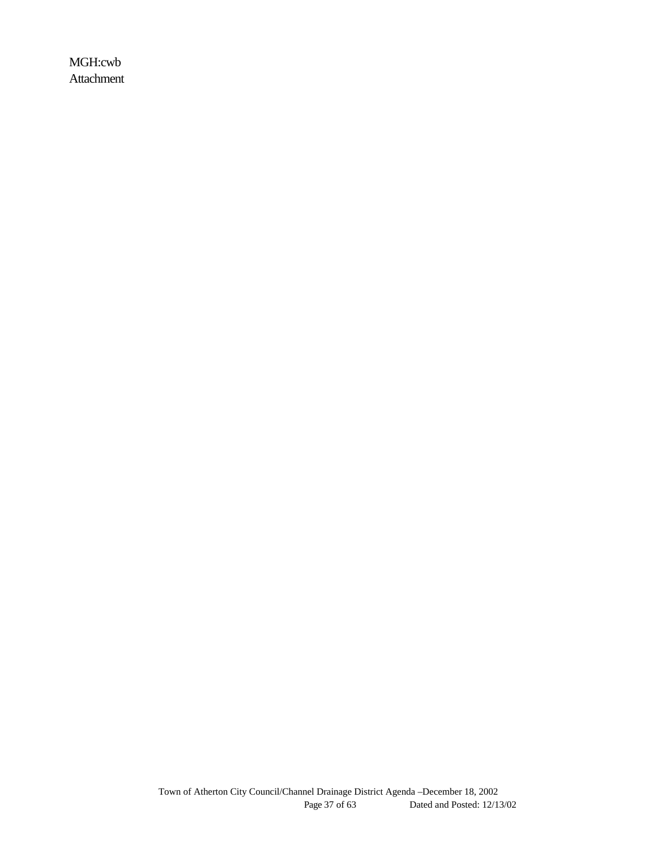MGH:cwb Attachment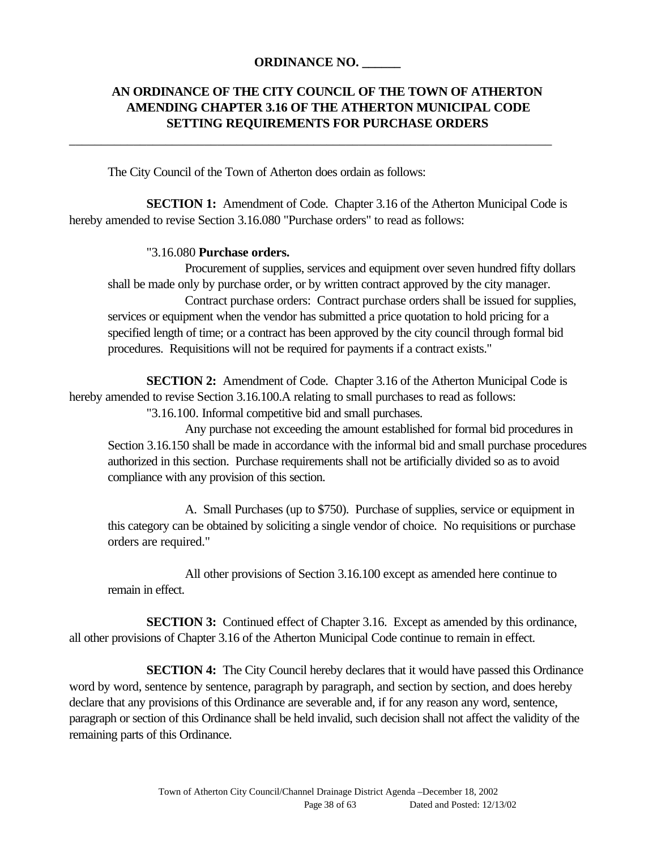#### **ORDINANCE NO. \_\_\_\_\_\_**

\_\_\_\_\_\_\_\_\_\_\_\_\_\_\_\_\_\_\_\_\_\_\_\_\_\_\_\_\_\_\_\_\_\_\_\_\_\_\_\_\_\_\_\_\_\_\_\_\_\_\_\_\_\_\_\_\_\_\_\_\_\_\_\_\_\_\_\_\_\_\_\_\_\_\_

## **AN ORDINANCE OF THE CITY COUNCIL OF THE TOWN OF ATHERTON AMENDING CHAPTER 3.16 OF THE ATHERTON MUNICIPAL CODE SETTING REQUIREMENTS FOR PURCHASE ORDERS**

The City Council of the Town of Atherton does ordain as follows:

**SECTION 1:** Amendment of Code. Chapter 3.16 of the Atherton Municipal Code is hereby amended to revise Section 3.16.080 "Purchase orders" to read as follows:

#### "3.16.080 **Purchase orders.**

Procurement of supplies, services and equipment over seven hundred fifty dollars shall be made only by purchase order, or by written contract approved by the city manager. Contract purchase orders: Contract purchase orders shall be issued for supplies, services or equipment when the vendor has submitted a price quotation to hold pricing for a specified length of time; or a contract has been approved by the city council through formal bid procedures. Requisitions will not be required for payments if a contract exists."

**SECTION 2:** Amendment of Code. Chapter 3.16 of the Atherton Municipal Code is hereby amended to revise Section 3.16.100.A relating to small purchases to read as follows: "3.16.100. Informal competitive bid and small purchases.

Any purchase not exceeding the amount established for formal bid procedures in Section 3.16.150 shall be made in accordance with the informal bid and small purchase procedures authorized in this section. Purchase requirements shall not be artificially divided so as to avoid compliance with any provision of this section.

A. Small Purchases (up to \$750). Purchase of supplies, service or equipment in this category can be obtained by soliciting a single vendor of choice. No requisitions or purchase orders are required."

All other provisions of Section 3.16.100 except as amended here continue to remain in effect.

**SECTION 3:** Continued effect of Chapter 3.16. Except as amended by this ordinance, all other provisions of Chapter 3.16 of the Atherton Municipal Code continue to remain in effect.

**SECTION 4:** The City Council hereby declares that it would have passed this Ordinance word by word, sentence by sentence, paragraph by paragraph, and section by section, and does hereby declare that any provisions ofthis Ordinance are severable and, if for any reason any word, sentence, paragraph or section of this Ordinance shall be held invalid, such decision shall not affect the validity of the remaining parts of this Ordinance.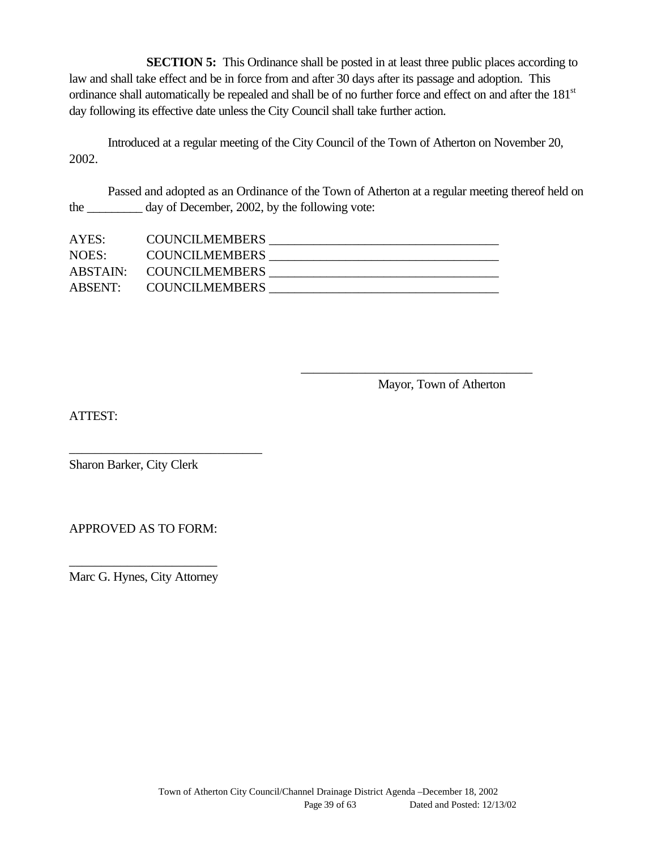**SECTION 5:** This Ordinance shall be posted in at least three public places according to law and shall take effect and be in force from and after 30 days after its passage and adoption. This ordinance shall automatically be repealed and shall be of no further force and effect on and after the 181st day following its effective date unless the City Council shall take further action.

Introduced at a regular meeting of the City Council of the Town of Atherton on November 20, 2002.

Passed and adopted as an Ordinance of the Town of Atherton at a regular meeting thereof held on the day of December, 2002, by the following vote:

| AYES: | <b>COUNCILMEMBERS</b>   |  |
|-------|-------------------------|--|
| NOES: | <b>COUNCILMEMBERS</b>   |  |
|       | ABSTAIN: COUNCILMEMBERS |  |
|       | ABSENT: COUNCILMEMBERS  |  |

Mayor, Town of Atherton

\_\_\_\_\_\_\_\_\_\_\_\_\_\_\_\_\_\_\_\_\_\_\_\_\_\_\_\_\_\_\_\_\_\_\_\_

ATTEST:

Sharon Barker, City Clerk

\_\_\_\_\_\_\_\_\_\_\_\_\_\_\_\_\_\_\_\_\_\_\_\_\_\_\_\_\_\_

APPROVED AS TO FORM:

\_\_\_\_\_\_\_\_\_\_\_\_\_\_\_\_\_\_\_\_\_\_\_ Marc G. Hynes, City Attorney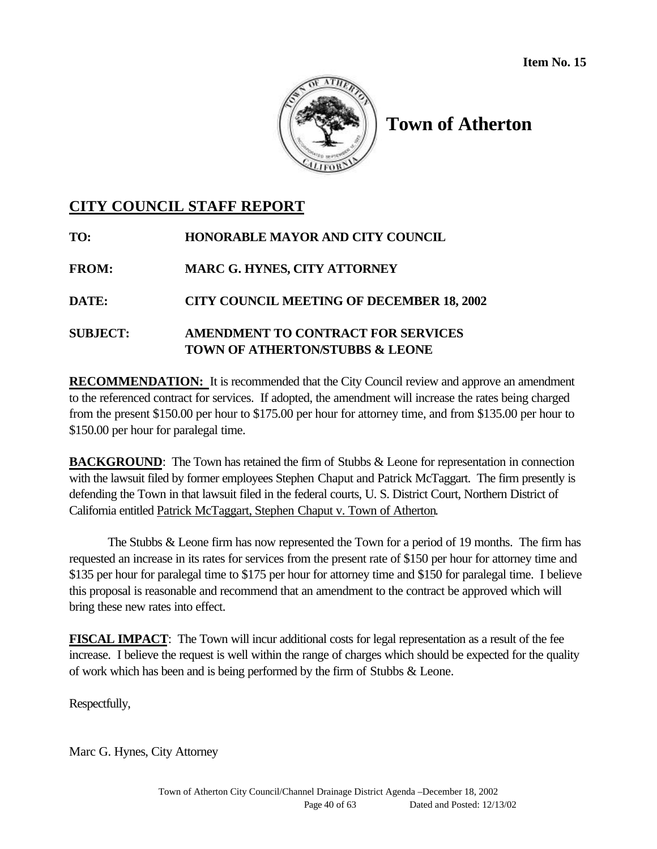

## **CITY COUNCIL STAFF REPORT**

| TO:             | HONORABLE MAYOR AND CITY COUNCIL                                                |
|-----------------|---------------------------------------------------------------------------------|
| <b>FROM:</b>    | <b>MARC G. HYNES, CITY ATTORNEY</b>                                             |
| <b>DATE:</b>    | <b>CITY COUNCIL MEETING OF DECEMBER 18, 2002</b>                                |
| <b>SUBJECT:</b> | AMENDMENT TO CONTRACT FOR SERVICES<br><b>TOWN OF ATHERTONSTUBBS &amp; LEONE</b> |

**RECOMMENDATION:** It is recommended that the City Council review and approve an amendment to the referenced contract for services. If adopted, the amendment will increase the rates being charged from the present \$150.00 per hour to \$175.00 per hour for attorney time, and from \$135.00 per hour to \$150.00 per hour for paralegal time.

**BACKGROUND:** The Town has retained the firm of Stubbs & Leone for representation in connection with the lawsuit filed by former employees Stephen Chaput and Patrick McTaggart. The firm presently is defending the Town in that lawsuit filed in the federal courts, U. S. District Court, Northern District of California entitled Patrick McTaggart, Stephen Chaput v. Town of Atherton.

The Stubbs & Leone firm has now represented the Town for a period of 19 months. The firm has requested an increase in its rates for services from the present rate of \$150 per hour for attorney time and \$135 per hour for paralegal time to \$175 per hour for attorney time and \$150 for paralegal time. I believe this proposal is reasonable and recommend that an amendment to the contract be approved which will bring these new rates into effect.

**FISCAL IMPACT**: The Town will incur additional costs for legal representation as a result of the fee increase. I believe the request is well within the range of charges which should be expected for the quality of work which has been and is being performed by the firm of Stubbs & Leone.

Respectfully,

Marc G. Hynes, City Attorney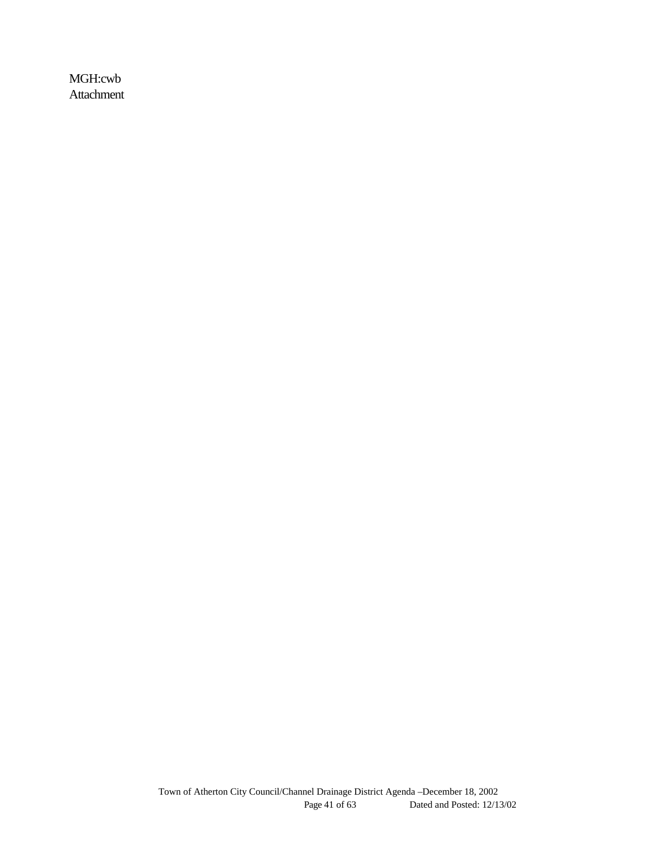MGH:cwb Attachment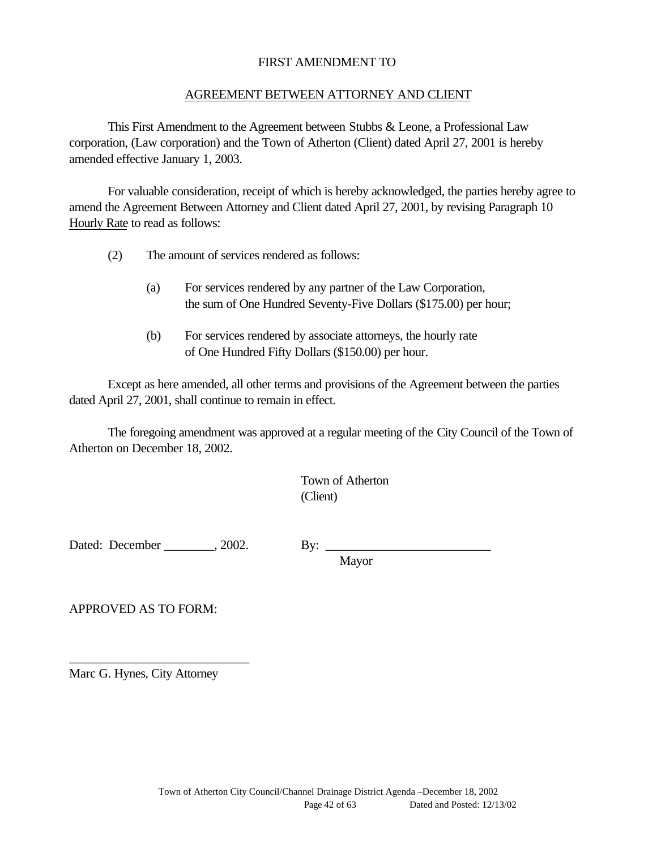#### FIRST AMENDMENT TO

#### AGREEMENT BETWEEN ATTORNEY AND CLIENT

This First Amendment to the Agreement between Stubbs & Leone, a Professional Law corporation, (Law corporation) and the Town of Atherton (Client) dated April 27, 2001 is hereby amended effective January 1, 2003.

For valuable consideration, receipt of which is hereby acknowledged, the parties hereby agree to amend the Agreement Between Attorney and Client dated April 27, 2001, by revising Paragraph 10 Hourly Rate to read as follows:

- (2) The amount of services rendered as follows:
	- (a) For services rendered by any partner of the Law Corporation, the sum of One Hundred Seventy-Five Dollars (\$175.00) per hour;
	- (b) For services rendered by associate attorneys, the hourly rate of One Hundred Fifty Dollars (\$150.00) per hour.

Except as here amended, all other terms and provisions of the Agreement between the parties dated April 27, 2001, shall continue to remain in effect.

The foregoing amendment was approved at a regular meeting of the City Council of the Town of Atherton on December 18, 2002.

> Town of Atherton (Client)

Dated: December , 2002. By:

Mayor

APPROVED AS TO FORM:

Marc G. Hynes, City Attorney

\_\_\_\_\_\_\_\_\_\_\_\_\_\_\_\_\_\_\_\_\_\_\_\_\_\_\_\_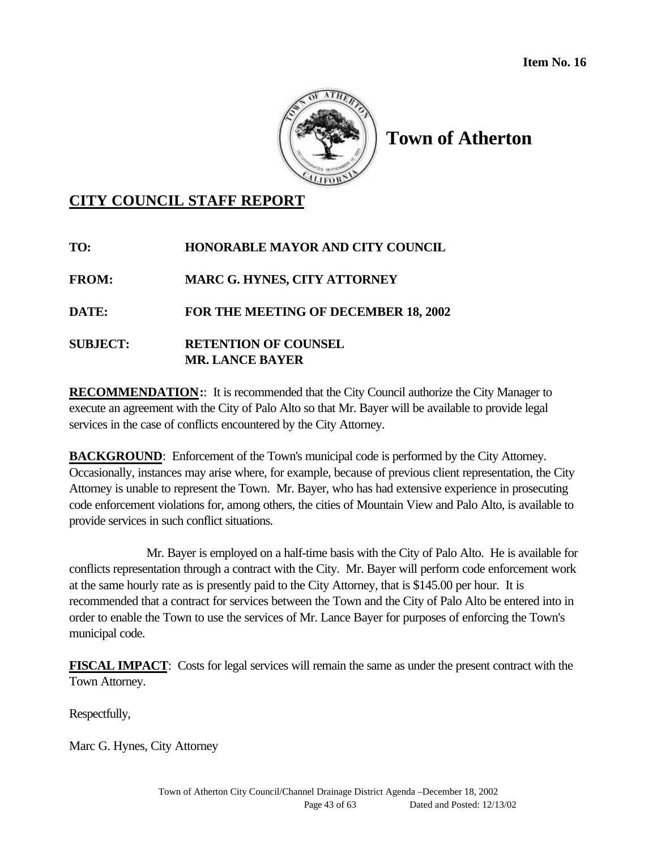

## **CITY COUNCIL STAFF REPORT**

| TO:             | <b>HONORABLE MAYOR AND CITY COUNCIL</b>     |
|-----------------|---------------------------------------------|
| <b>FROM:</b>    | <b>MARC G. HYNES, CITY ATTORNEY</b>         |
| <b>DATE:</b>    | <b>FOR THE MEETING OF DECEMBER 18, 2002</b> |
| <b>SUBJECT:</b> | <b>RETENTION OF COUNSEL</b>                 |
|                 | <b>MR. LANCE BAYER</b>                      |

**RECOMMENDATION::** It is recommended that the City Council authorize the City Manager to execute an agreement with the City of Palo Alto so that Mr. Bayer will be available to provide legal services in the case of conflicts encountered by the City Attorney.

**BACKGROUND:** Enforcement of the Town's municipal code is performed by the City Attorney. Occasionally, instances may arise where, for example, because of previous client representation, the City Attorney is unable to represent the Town. Mr. Bayer, who has had extensive experience in prosecuting code enforcement violations for, among others, the cities of Mountain View and Palo Alto, is available to provide services in such conflict situations.

Mr. Bayer is employed on a half-time basis with the City of Palo Alto. He is available for conflicts representation through a contract with the City. Mr. Bayer will perform code enforcement work at the same hourly rate as is presently paid to the City Attorney, that is \$145.00 per hour. It is recommended that a contract for services between the Town and the City of Palo Alto be entered into in order to enable the Town to use the services of Mr. Lance Bayer for purposes of enforcing the Town's municipal code.

**FISCAL IMPACT**: Costs for legal services will remain the same as under the present contract with the Town Attorney.

Respectfully,

Marc G. Hynes, City Attorney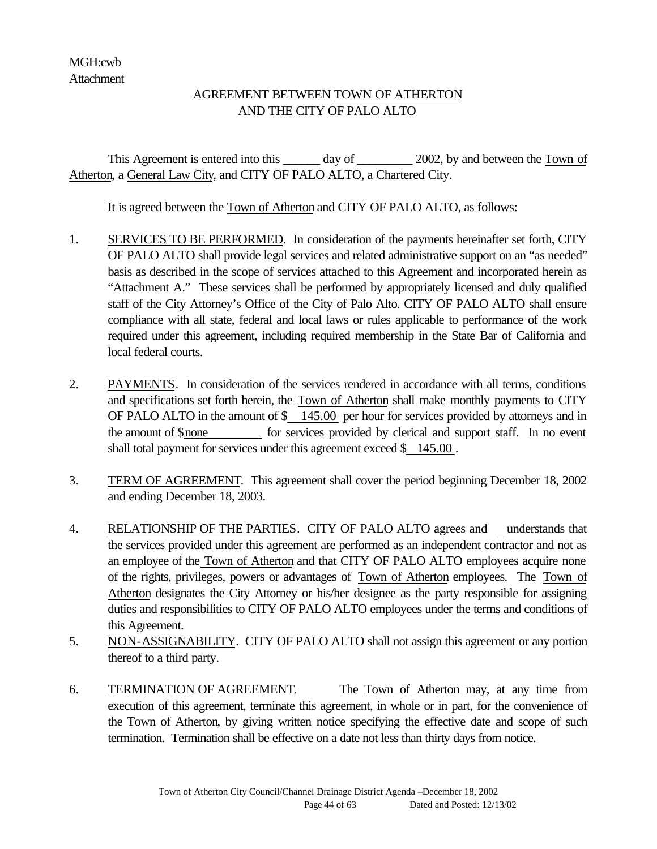## AGREEMENT BETWEEN TOWN OF ATHERTON AND THE CITY OF PALO ALTO

This Agreement is entered into this \_\_\_\_\_\_ day of \_\_\_\_\_\_\_\_\_ 2002, by and between the Town of Atherton, a General Law City, and CITY OF PALO ALTO, a Chartered City.

It is agreed between the Town of Atherton and CITY OF PALO ALTO, as follows:

- 1. SERVICES TO BE PERFORMED. In consideration of the payments hereinafter set forth, CITY OF PALO ALTO shall provide legal services and related administrative support on an "as needed" basis as described in the scope of services attached to this Agreement and incorporated herein as "Attachment A." These services shall be performed by appropriately licensed and duly qualified staff of the City Attorney's Office of the City of Palo Alto. CITY OF PALO ALTO shall ensure compliance with all state, federal and local laws or rules applicable to performance of the work required under this agreement, including required membership in the State Bar of California and local federal courts.
- 2. PAYMENTS. In consideration of the services rendered in accordance with all terms, conditions and specifications set forth herein, the Town of Atherton shall make monthly payments to CITY OF PALO ALTO in the amount of \$ 145.00 per hour for services provided by attorneys and in the amount of \$none for services provided by clerical and support staff. In no event shall total payment for services under this agreement exceed \$ 145.00.
- 3. TERM OF AGREEMENT. This agreement shall cover the period beginning December 18, 2002 and ending December 18, 2003.
- 4. RELATIONSHIP OF THE PARTIES. CITY OF PALO ALTO agrees and \_understands that the services provided under this agreement are performed as an independent contractor and not as an employee of the Town of Atherton and that CITY OF PALO ALTO employees acquire none of the rights, privileges, powers or advantages of Town of Atherton employees. The Town of Atherton designates the City Attorney or his/her designee as the party responsible for assigning duties and responsibilities to CITY OF PALO ALTO employees under the terms and conditions of this Agreement.
- 5. NON-ASSIGNABILITY. CITY OF PALO ALTO shall not assign this agreement or any portion thereof to a third party.
- 6. TERMINATION OF AGREEMENT. The Town of Atherton may, at any time from execution of this agreement, terminate this agreement, in whole or in part, for the convenience of the Town of Atherton, by giving written notice specifying the effective date and scope of such termination. Termination shall be effective on a date not less than thirty days from notice.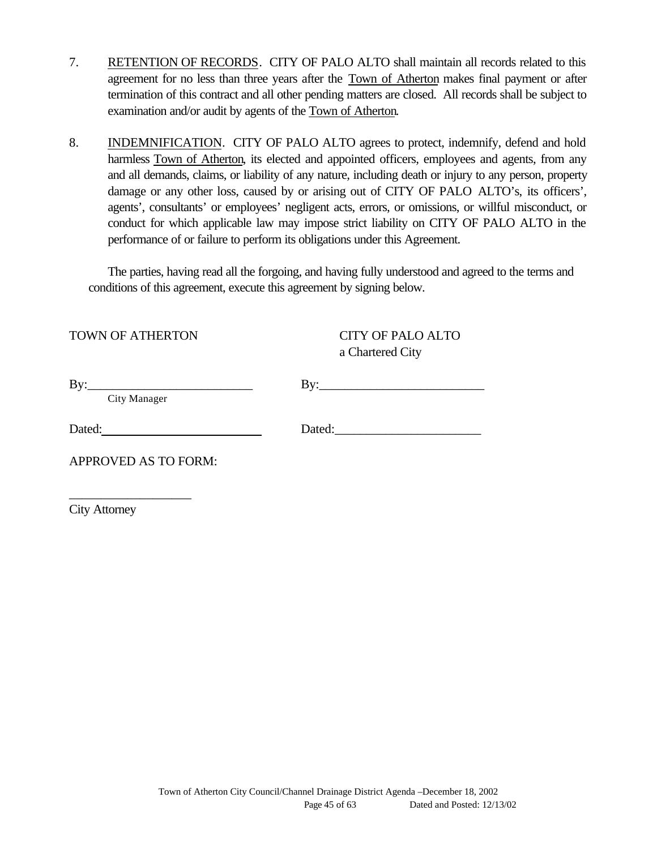- 7. RETENTION OF RECORDS. CITY OF PALO ALTO shall maintain all records related to this agreement for no less than three years after the Town of Atherton makes final payment or after termination of this contract and all other pending matters are closed. All records shall be subject to examination and/or audit by agents of the Town of Atherton.
- 8. INDEMNIFICATION. CITY OF PALO ALTO agrees to protect, indemnify, defend and hold harmless Town of Atherton, its elected and appointed officers, employees and agents, from any and all demands, claims, or liability of any nature, including death or injury to any person, property damage or any other loss, caused by or arising out of CITY OF PALO ALTO's, its officers', agents', consultants' or employees' negligent acts, errors, or omissions, or willful misconduct, or conduct for which applicable law may impose strict liability on CITY OF PALO ALTO in the performance of or failure to perform its obligations under this Agreement.

The parties, having read all the forgoing, and having fully understood and agreed to the terms and conditions of this agreement, execute this agreement by signing below.

TOWN OF ATHERTON CITY OF PALO ALTO

a Chartered City

| $\overline{\mathrm{B}}\mathrm{V}$ | Bv:    |  |
|-----------------------------------|--------|--|
| City Manager                      |        |  |
| Dated:                            | Dated: |  |

APPROVED AS TO FORM:

\_\_\_\_\_\_\_\_\_\_\_\_\_\_\_\_\_\_\_

City Attorney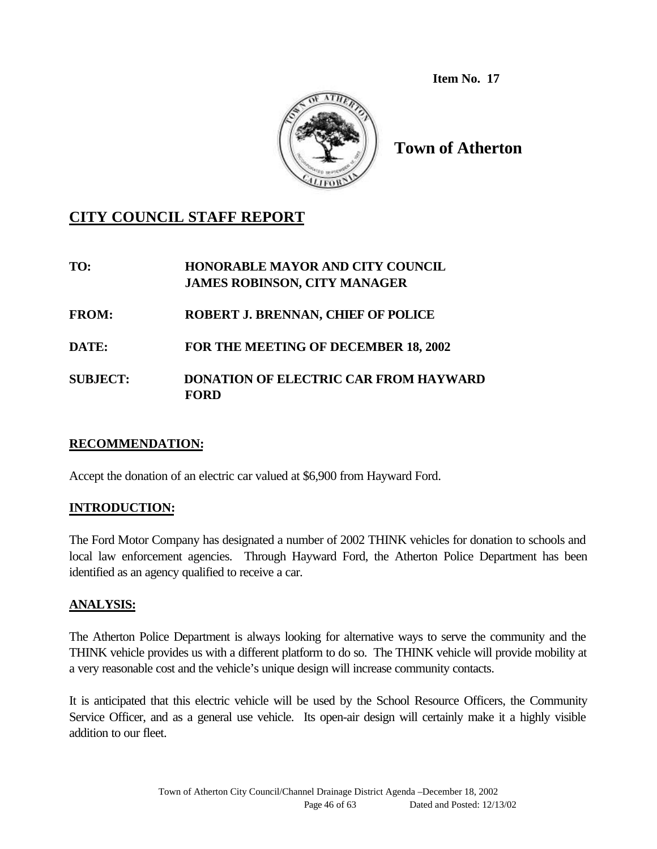**Item No. 17**



**Town of Atherton**

## **CITY COUNCIL STAFF REPORT**

**TO: HONORABLE MAYOR AND CITY COUNCIL JAMES ROBINSON, CITY MANAGER**

**FROM: ROBERT J. BRENNAN, CHIEF OF POLICE**

**DATE: FOR THE MEETING OF DECEMBER 18, 2002**

## **SUBJECT: DONATION OF ELECTRIC CAR FROM HAYWARD FORD**

#### **RECOMMENDATION:**

Accept the donation of an electric car valued at \$6,900 from Hayward Ford.

## **INTRODUCTION:**

The Ford Motor Company has designated a number of 2002 THINK vehicles for donation to schools and local law enforcement agencies. Through Hayward Ford, the Atherton Police Department has been identified as an agency qualified to receive a car.

## **ANALYSIS:**

The Atherton Police Department is always looking for alternative ways to serve the community and the THINK vehicle provides us with a different platform to do so. The THINK vehicle will provide mobility at a very reasonable cost and the vehicle's unique design will increase community contacts.

It is anticipated that this electric vehicle will be used by the School Resource Officers, the Community Service Officer, and as a general use vehicle. Its open-air design will certainly make it a highly visible addition to our fleet.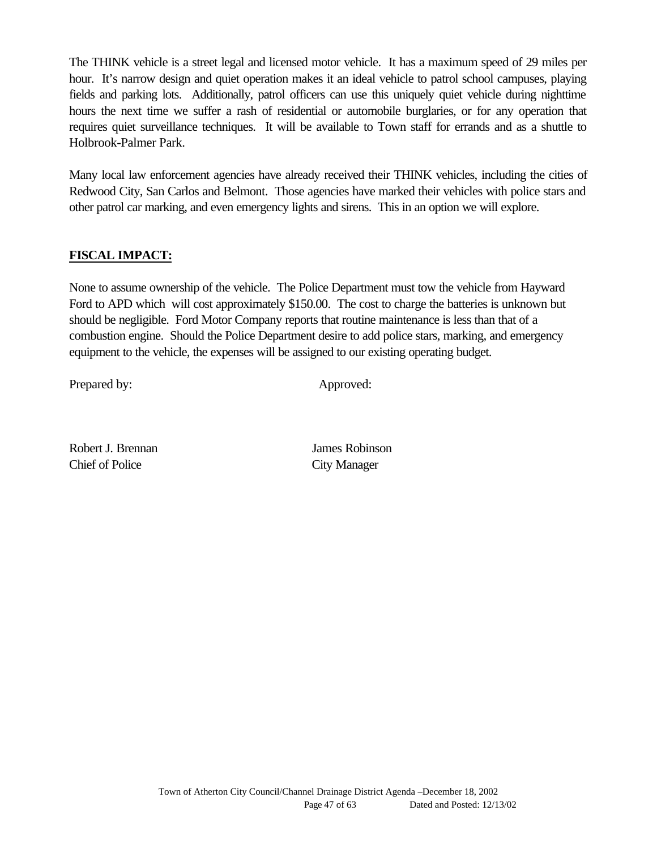The THINK vehicle is a street legal and licensed motor vehicle. It has a maximum speed of 29 miles per hour. It's narrow design and quiet operation makes it an ideal vehicle to patrol school campuses, playing fields and parking lots. Additionally, patrol officers can use this uniquely quiet vehicle during nighttime hours the next time we suffer a rash of residential or automobile burglaries, or for any operation that requires quiet surveillance techniques. It will be available to Town staff for errands and as a shuttle to Holbrook-Palmer Park.

Many local law enforcement agencies have already received their THINK vehicles, including the cities of Redwood City, San Carlos and Belmont. Those agencies have marked their vehicles with police stars and other patrol car marking, and even emergency lights and sirens. This in an option we will explore.

## **FISCAL IMPACT:**

None to assume ownership of the vehicle. The Police Department must tow the vehicle from Hayward Ford to APD which will cost approximately \$150.00. The cost to charge the batteries is unknown but should be negligible. Ford Motor Company reports that routine maintenance is less than that of a combustion engine. Should the Police Department desire to add police stars, marking, and emergency equipment to the vehicle, the expenses will be assigned to our existing operating budget.

Prepared by: Approved:

Robert J. Brennan James Robinson Chief of Police City Manager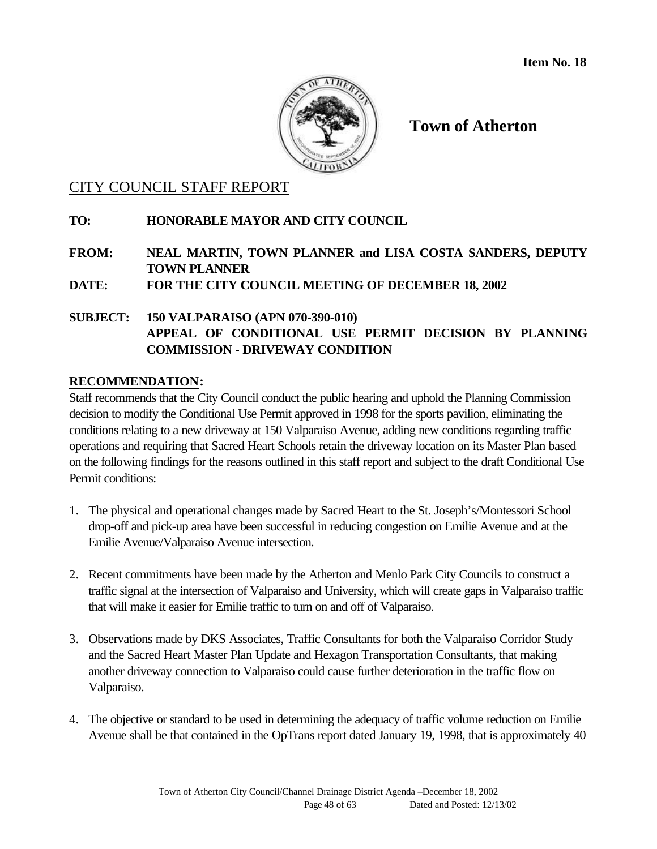

## CITY COUNCIL STAFF REPORT

## **TO: HONORABLE MAYOR AND CITY COUNCIL**

**FROM: NEAL MARTIN, TOWN PLANNER and LISA COSTA SANDERS, DEPUTY TOWN PLANNER**

**DATE: FOR THE CITY COUNCIL MEETING OF DECEMBER 18, 2002**

## **SUBJECT: 150 VALPARAISO (APN 070-390-010) APPEAL OF CONDITIONAL USE PERMIT DECISION BY PLANNING COMMISSION - DRIVEWAY CONDITION**

## **RECOMMENDATION:**

Staff recommends that the City Council conduct the public hearing and uphold the Planning Commission decision to modify the Conditional Use Permit approved in 1998 for the sports pavilion, eliminating the conditions relating to a new driveway at 150 Valparaiso Avenue, adding new conditions regarding traffic operations and requiring that Sacred Heart Schools retain the driveway location on its Master Plan based on the following findings for the reasons outlined in this staff report and subject to the draft Conditional Use Permit conditions:

- 1. The physical and operational changes made by Sacred Heart to the St. Joseph's/Montessori School drop-off and pick-up area have been successful in reducing congestion on Emilie Avenue and at the Emilie Avenue/Valparaiso Avenue intersection.
- 2. Recent commitments have been made by the Atherton and Menlo Park City Councils to construct a traffic signal at the intersection of Valparaiso and University, which will create gaps in Valparaiso traffic that will make it easier for Emilie traffic to turn on and off of Valparaiso.
- 3. Observations made by DKS Associates, Traffic Consultants for both the Valparaiso Corridor Study and the Sacred Heart Master Plan Update and Hexagon Transportation Consultants, that making another driveway connection to Valparaiso could cause further deterioration in the traffic flow on Valparaiso.
- 4. The objective or standard to be used in determining the adequacy of traffic volume reduction on Emilie Avenue shall be that contained in the OpTrans report dated January 19, 1998, that is approximately 40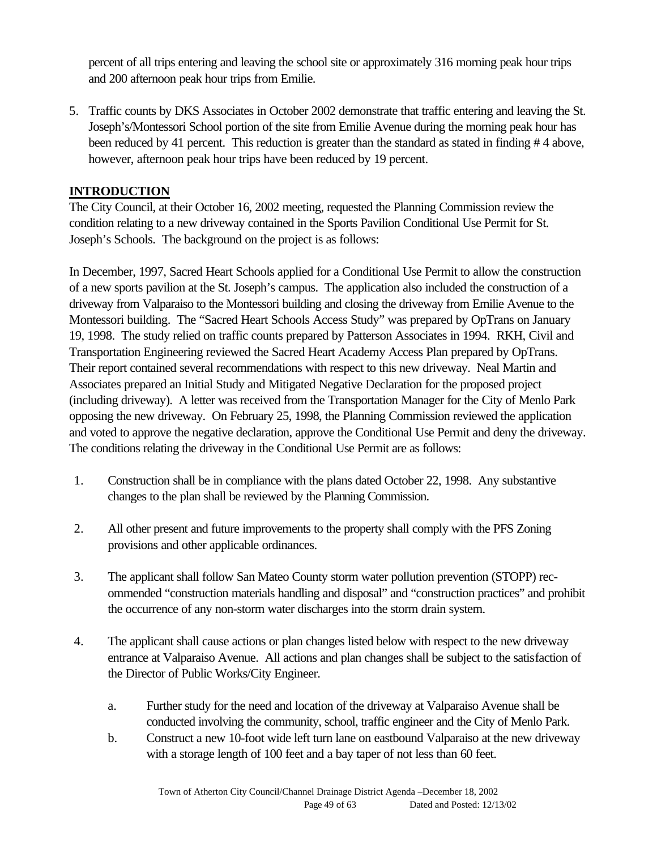percent of all trips entering and leaving the school site or approximately 316 morning peak hour trips and 200 afternoon peak hour trips from Emilie.

5. Traffic counts by DKS Associates in October 2002 demonstrate that traffic entering and leaving the St. Joseph's/Montessori School portion of the site from Emilie Avenue during the morning peak hour has been reduced by 41 percent. This reduction is greater than the standard as stated in finding # 4 above, however, afternoon peak hour trips have been reduced by 19 percent.

## **INTRODUCTION**

The City Council, at their October 16, 2002 meeting, requested the Planning Commission review the condition relating to a new driveway contained in the Sports Pavilion Conditional Use Permit for St. Joseph's Schools. The background on the project is as follows:

In December, 1997, Sacred Heart Schools applied for a Conditional Use Permit to allow the construction of a new sports pavilion at the St. Joseph's campus. The application also included the construction of a driveway from Valparaiso to the Montessori building and closing the driveway from Emilie Avenue to the Montessori building. The "Sacred Heart Schools Access Study" was prepared by OpTrans on January 19, 1998. The study relied on traffic counts prepared by Patterson Associates in 1994. RKH, Civil and Transportation Engineering reviewed the Sacred Heart Academy Access Plan prepared by OpTrans. Their report contained several recommendations with respect to this new driveway. Neal Martin and Associates prepared an Initial Study and Mitigated Negative Declaration for the proposed project (including driveway). A letter was received from the Transportation Manager for the City of Menlo Park opposing the new driveway. On February 25, 1998, the Planning Commission reviewed the application and voted to approve the negative declaration, approve the Conditional Use Permit and deny the driveway. The conditions relating the driveway in the Conditional Use Permit are as follows:

- 1. Construction shall be in compliance with the plans dated October 22, 1998. Any substantive changes to the plan shall be reviewed by the Planning Commission.
- 2. All other present and future improvements to the property shall comply with the PFS Zoning provisions and other applicable ordinances.
- 3. The applicant shall follow San Mateo County storm water pollution prevention (STOPP) recommended "construction materials handling and disposal" and "construction practices" and prohibit the occurrence of any non-storm water discharges into the storm drain system.
- 4. The applicant shall cause actions or plan changes listed below with respect to the new driveway entrance at Valparaiso Avenue. All actions and plan changes shall be subject to the satisfaction of the Director of Public Works/City Engineer.
	- a. Further study for the need and location of the driveway at Valparaiso Avenue shall be conducted involving the community, school, traffic engineer and the City of Menlo Park.
	- b. Construct a new 10-foot wide left turn lane on eastbound Valparaiso at the new driveway with a storage length of 100 feet and a bay taper of not less than 60 feet.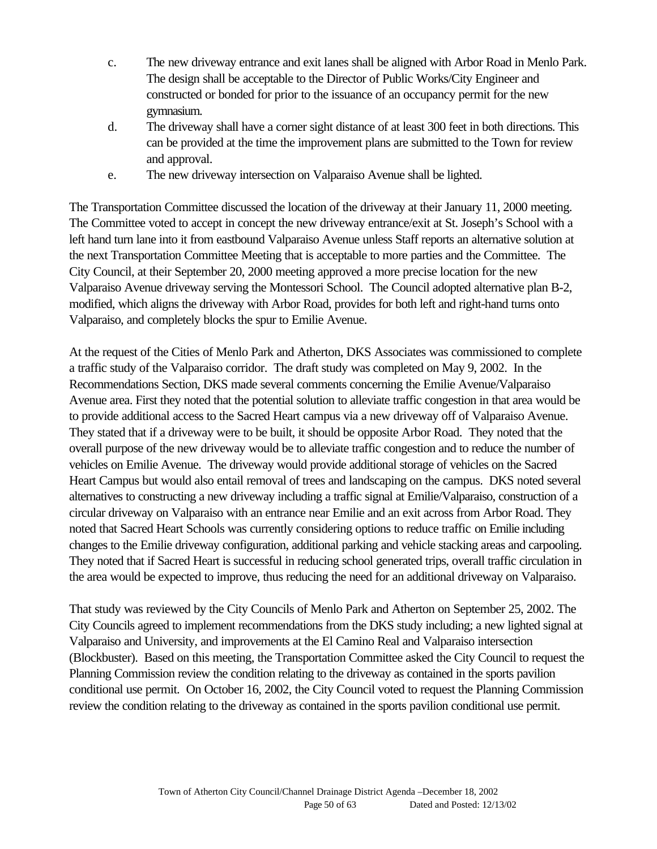- c. The new driveway entrance and exit lanes shall be aligned with Arbor Road in Menlo Park. The design shall be acceptable to the Director of Public Works/City Engineer and constructed or bonded for prior to the issuance of an occupancy permit for the new gymnasium.
- d. The driveway shall have a corner sight distance of at least 300 feet in both directions. This can be provided at the time the improvement plans are submitted to the Town for review and approval.
- e. The new driveway intersection on Valparaiso Avenue shall be lighted.

The Transportation Committee discussed the location of the driveway at their January 11, 2000 meeting. The Committee voted to accept in concept the new driveway entrance/exit at St. Joseph's School with a left hand turn lane into it from eastbound Valparaiso Avenue unless Staff reports an alternative solution at the next Transportation Committee Meeting that is acceptable to more parties and the Committee. The City Council, at their September 20, 2000 meeting approved a more precise location for the new Valparaiso Avenue driveway serving the Montessori School. The Council adopted alternative plan B-2, modified, which aligns the driveway with Arbor Road, provides for both left and right-hand turns onto Valparaiso, and completely blocks the spur to Emilie Avenue.

At the request of the Cities of Menlo Park and Atherton, DKS Associates was commissioned to complete a traffic study of the Valparaiso corridor. The draft study was completed on May 9, 2002. In the Recommendations Section, DKS made several comments concerning the Emilie Avenue/Valparaiso Avenue area. First they noted that the potential solution to alleviate traffic congestion in that area would be to provide additional access to the Sacred Heart campus via a new driveway off of Valparaiso Avenue. They stated that if a driveway were to be built, it should be opposite Arbor Road. They noted that the overall purpose of the new driveway would be to alleviate traffic congestion and to reduce the number of vehicles on Emilie Avenue. The driveway would provide additional storage of vehicles on the Sacred Heart Campus but would also entail removal of trees and landscaping on the campus. DKS noted several alternatives to constructing a new driveway including a traffic signal at Emilie/Valparaiso, construction of a circular driveway on Valparaiso with an entrance near Emilie and an exit across from Arbor Road. They noted that Sacred Heart Schools was currently considering options to reduce traffic on Emilie including changes to the Emilie driveway configuration, additional parking and vehicle stacking areas and carpooling. They noted that if Sacred Heart is successful in reducing school generated trips, overall traffic circulation in the area would be expected to improve, thus reducing the need for an additional driveway on Valparaiso.

That study was reviewed by the City Councils of Menlo Park and Atherton on September 25, 2002. The City Councils agreed to implement recommendations from the DKS study including; a new lighted signal at Valparaiso and University, and improvements at the El Camino Real and Valparaiso intersection (Blockbuster). Based on this meeting, the Transportation Committee asked the City Council to request the Planning Commission review the condition relating to the driveway as contained in the sports pavilion conditional use permit. On October 16, 2002, the City Council voted to request the Planning Commission review the condition relating to the driveway as contained in the sports pavilion conditional use permit.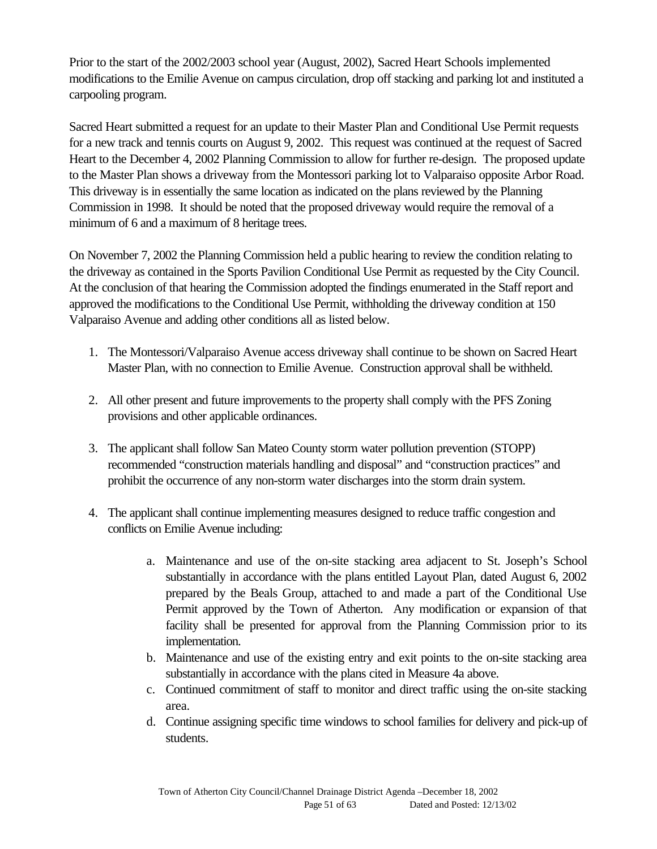Prior to the start of the 2002/2003 school year (August, 2002), Sacred Heart Schools implemented modifications to the Emilie Avenue on campus circulation, drop off stacking and parking lot and instituted a carpooling program.

Sacred Heart submitted a request for an update to their Master Plan and Conditional Use Permit requests for a new track and tennis courts on August 9, 2002. This request was continued at the request of Sacred Heart to the December 4, 2002 Planning Commission to allow for further re-design. The proposed update to the Master Plan shows a driveway from the Montessori parking lot to Valparaiso opposite Arbor Road. This driveway is in essentially the same location as indicated on the plans reviewed by the Planning Commission in 1998. It should be noted that the proposed driveway would require the removal of a minimum of 6 and a maximum of 8 heritage trees.

On November 7, 2002 the Planning Commission held a public hearing to review the condition relating to the driveway as contained in the Sports Pavilion Conditional Use Permit as requested by the City Council. At the conclusion of that hearing the Commission adopted the findings enumerated in the Staff report and approved the modifications to the Conditional Use Permit, withholding the driveway condition at 150 Valparaiso Avenue and adding other conditions all as listed below.

- 1. The Montessori/Valparaiso Avenue access driveway shall continue to be shown on Sacred Heart Master Plan, with no connection to Emilie Avenue. Construction approval shall be withheld.
- 2. All other present and future improvements to the property shall comply with the PFS Zoning provisions and other applicable ordinances.
- 3. The applicant shall follow San Mateo County storm water pollution prevention (STOPP) recommended "construction materials handling and disposal" and "construction practices" and prohibit the occurrence of any non-storm water discharges into the storm drain system.
- 4. The applicant shall continue implementing measures designed to reduce traffic congestion and conflicts on Emilie Avenue including:
	- a. Maintenance and use of the on-site stacking area adjacent to St. Joseph's School substantially in accordance with the plans entitled Layout Plan, dated August 6, 2002 prepared by the Beals Group, attached to and made a part of the Conditional Use Permit approved by the Town of Atherton. Any modification or expansion of that facility shall be presented for approval from the Planning Commission prior to its implementation.
	- b. Maintenance and use of the existing entry and exit points to the on-site stacking area substantially in accordance with the plans cited in Measure 4a above.
	- c. Continued commitment of staff to monitor and direct traffic using the on-site stacking area.
	- d. Continue assigning specific time windows to school families for delivery and pick-up of students.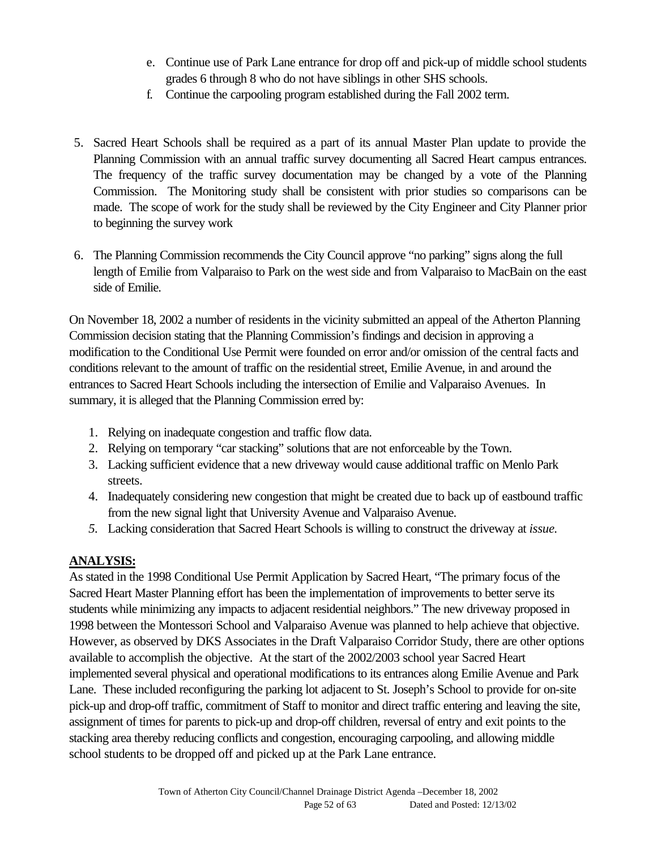- e. Continue use of Park Lane entrance for drop off and pick-up of middle school students grades 6 through 8 who do not have siblings in other SHS schools.
- f. Continue the carpooling program established during the Fall 2002 term.
- 5. Sacred Heart Schools shall be required as a part of its annual Master Plan update to provide the Planning Commission with an annual traffic survey documenting all Sacred Heart campus entrances. The frequency of the traffic survey documentation may be changed by a vote of the Planning Commission. The Monitoring study shall be consistent with prior studies so comparisons can be made. The scope of work for the study shall be reviewed by the City Engineer and City Planner prior to beginning the survey work
- 6. The Planning Commission recommends the City Council approve "no parking" signs along the full length of Emilie from Valparaiso to Park on the west side and from Valparaiso to MacBain on the east side of Emilie.

On November 18, 2002 a number of residents in the vicinity submitted an appeal of the Atherton Planning Commission decision stating that the Planning Commission's findings and decision in approving a modification to the Conditional Use Permit were founded on error and/or omission of the central facts and conditions relevant to the amount of traffic on the residential street, Emilie Avenue, in and around the entrances to Sacred Heart Schools including the intersection of Emilie and Valparaiso Avenues. In summary, it is alleged that the Planning Commission erred by:

- 1. Relying on inadequate congestion and traffic flow data.
- 2. Relying on temporary "car stacking" solutions that are not enforceable by the Town.
- 3. Lacking sufficient evidence that a new driveway would cause additional traffic on Menlo Park streets.
- 4. Inadequately considering new congestion that might be created due to back up of eastbound traffic from the new signal light that University Avenue and Valparaiso Avenue.
- *5.* Lacking consideration that Sacred Heart Schools is willing to construct the driveway at *issue.*

## **ANALYSIS:**

As stated in the 1998 Conditional Use Permit Application by Sacred Heart, "The primary focus of the Sacred Heart Master Planning effort has been the implementation of improvements to better serve its students while minimizing any impacts to adjacent residential neighbors." The new driveway proposed in 1998 between the Montessori School and Valparaiso Avenue was planned to help achieve that objective. However, as observed by DKS Associates in the Draft Valparaiso Corridor Study, there are other options available to accomplish the objective. At the start of the 2002/2003 school year Sacred Heart implemented several physical and operational modifications to its entrances along Emilie Avenue and Park Lane. These included reconfiguring the parking lot adjacent to St. Joseph's School to provide for on-site pick-up and drop-off traffic, commitment of Staff to monitor and direct traffic entering and leaving the site, assignment of times for parents to pick-up and drop-off children, reversal of entry and exit points to the stacking area thereby reducing conflicts and congestion, encouraging carpooling, and allowing middle school students to be dropped off and picked up at the Park Lane entrance.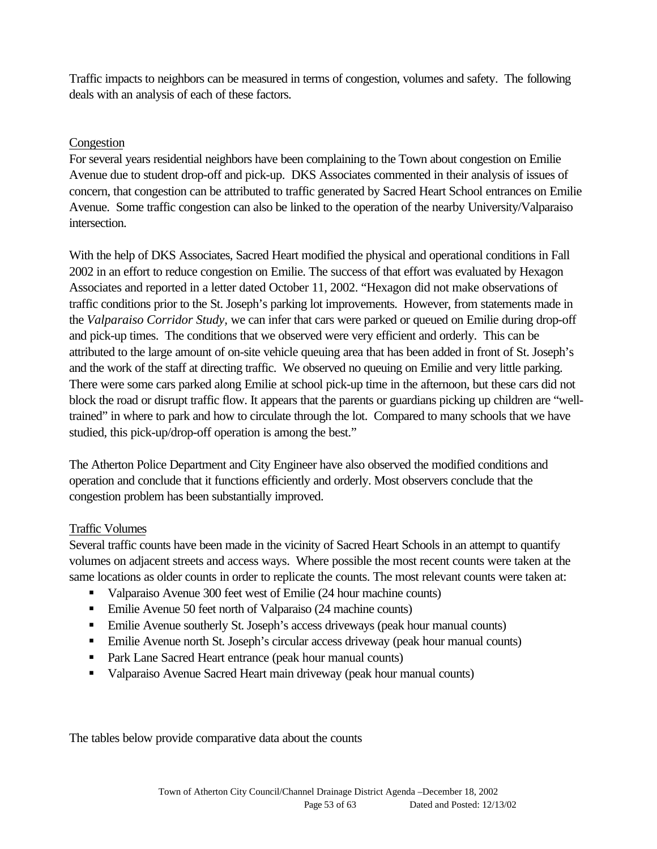Traffic impacts to neighbors can be measured in terms of congestion, volumes and safety. The following deals with an analysis of each of these factors.

## Congestion

For several years residential neighbors have been complaining to the Town about congestion on Emilie Avenue due to student drop-off and pick-up. DKS Associates commented in their analysis of issues of concern, that congestion can be attributed to traffic generated by Sacred Heart School entrances on Emilie Avenue. Some traffic congestion can also be linked to the operation of the nearby University/Valparaiso intersection.

With the help of DKS Associates, Sacred Heart modified the physical and operational conditions in Fall 2002 in an effort to reduce congestion on Emilie. The success of that effort was evaluated by Hexagon Associates and reported in a letter dated October 11, 2002. "Hexagon did not make observations of traffic conditions prior to the St. Joseph's parking lot improvements. However, from statements made in the *Valparaiso Corridor Study,* we can infer that cars were parked or queued on Emilie during drop-off and pick-up times. The conditions that we observed were very efficient and orderly. This can be attributed to the large amount of on-site vehicle queuing area that has been added in front of St. Joseph's and the work of the staff at directing traffic. We observed no queuing on Emilie and very little parking. There were some cars parked along Emilie at school pick-up time in the afternoon, but these cars did not block the road or disrupt traffic flow. It appears that the parents or guardians picking up children are "welltrained" in where to park and how to circulate through the lot. Compared to many schools that we have studied, this pick-up/drop-off operation is among the best."

The Atherton Police Department and City Engineer have also observed the modified conditions and operation and conclude that it functions efficiently and orderly. Most observers conclude that the congestion problem has been substantially improved.

#### Traffic Volumes

Several traffic counts have been made in the vicinity of Sacred Heart Schools in an attempt to quantify volumes on adjacent streets and access ways. Where possible the most recent counts were taken at the same locations as older counts in order to replicate the counts. The most relevant counts were taken at:

- ß Valparaiso Avenue 300 feet west of Emilie (24 hour machine counts)
- Emilie Avenue 50 feet north of Valparaiso (24 machine counts)
- ß Emilie Avenue southerly St. Joseph's access driveways (peak hour manual counts)
- **Emilie Avenue north St. Joseph's circular access driveway (peak hour manual counts)**
- Park Lane Sacred Heart entrance (peak hour manual counts)
- Valparaiso Avenue Sacred Heart main driveway (peak hour manual counts)

The tables below provide comparative data about the counts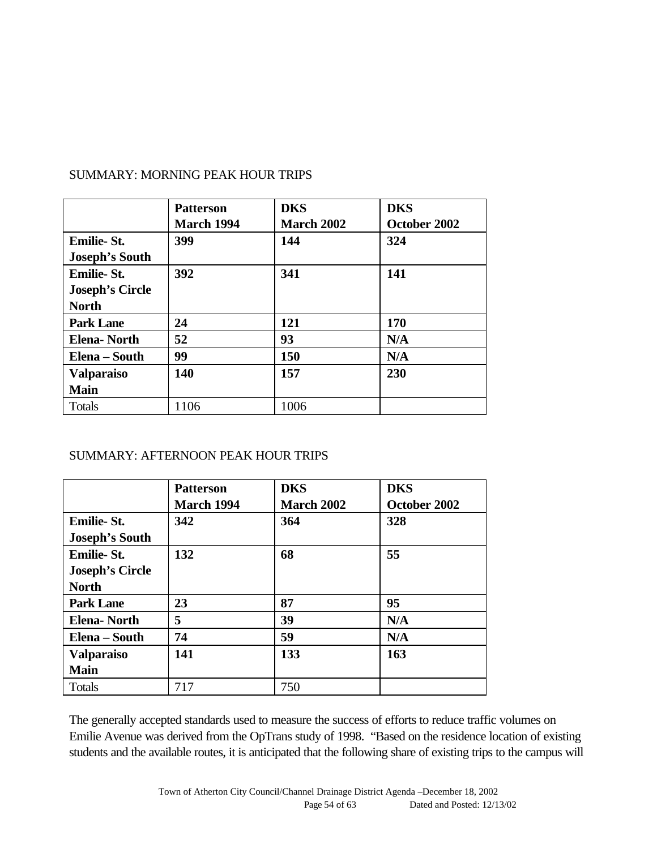|                        | <b>Patterson</b>  | <b>DKS</b>        | <b>DKS</b>   |
|------------------------|-------------------|-------------------|--------------|
|                        | <b>March 1994</b> | <b>March 2002</b> | October 2002 |
| <b>Emilie-St.</b>      | 399               | 144               | 324          |
| <b>Joseph's South</b>  |                   |                   |              |
| <b>Emilie-St.</b>      | 392               | 341               | 141          |
| <b>Joseph's Circle</b> |                   |                   |              |
| <b>North</b>           |                   |                   |              |
| <b>Park Lane</b>       | 24                | 121               | 170          |
| <b>Elena-North</b>     | 52                | 93                | N/A          |
| Elena – South          | 99                | 150               | N/A          |
| <b>Valparaiso</b>      | 140               | 157               | 230          |
| <b>Main</b>            |                   |                   |              |
| <b>Totals</b>          | 1106              | 1006              |              |

## SUMMARY: MORNING PEAK HOUR TRIPS

#### SUMMARY: AFTERNOON PEAK HOUR TRIPS

|                        | <b>Patterson</b><br><b>March 1994</b> | <b>DKS</b><br><b>March 2002</b> | <b>DKS</b><br>October 2002 |
|------------------------|---------------------------------------|---------------------------------|----------------------------|
| <b>Emilie-St.</b>      | 342                                   | 364                             | 328                        |
| <b>Joseph's South</b>  |                                       |                                 |                            |
| <b>Emilie-St.</b>      | 132                                   | 68                              | 55                         |
| <b>Joseph's Circle</b> |                                       |                                 |                            |
| <b>North</b>           |                                       |                                 |                            |
| <b>Park Lane</b>       | 23                                    | 87                              | 95                         |
| <b>Elena-North</b>     | 5                                     | 39                              | N/A                        |
| Elena – South          | 74                                    | 59                              | N/A                        |
| <b>Valparaiso</b>      | 141                                   | 133                             | 163                        |
| <b>Main</b>            |                                       |                                 |                            |
| <b>Totals</b>          | 717                                   | 750                             |                            |

The generally accepted standards used to measure the success of efforts to reduce traffic volumes on Emilie Avenue was derived from the OpTrans study of 1998. "Based on the residence location of existing students and the available routes, it is anticipated that the following share of existing trips to the campus will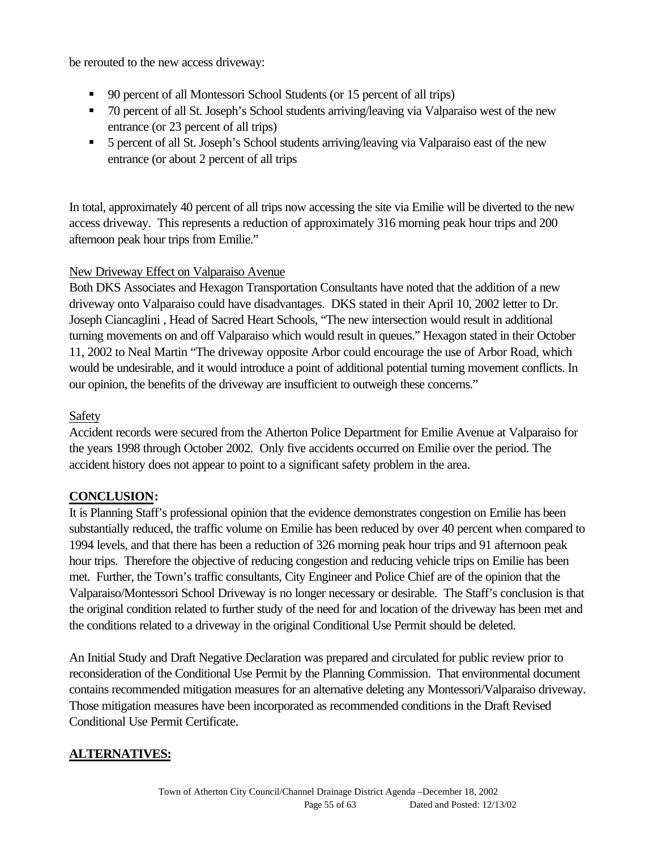be rerouted to the new access driveway:

- ß 90 percent of all Montessori School Students (or 15 percent of all trips)
- 70 percent of all St. Joseph's School students arriving/leaving via Valparaiso west of the new entrance (or 23 percent of all trips)
- ß 5 percent of all St. Joseph's School students arriving/leaving via Valparaiso east of the new entrance (or about 2 percent of all trips

In total, approximately 40 percent of all trips now accessing the site via Emilie will be diverted to the new access driveway. This represents a reduction of approximately 316 morning peak hour trips and 200 afternoon peak hour trips from Emilie."

## New Driveway Effect on Valparaiso Avenue

Both DKS Associates and Hexagon Transportation Consultants have noted that the addition of a new driveway onto Valparaiso could have disadvantages. DKS stated in their April 10, 2002 letter to Dr. Joseph Ciancaglini , Head of Sacred Heart Schools, "The new intersection would result in additional turning movements on and off Valparaiso which would result in queues." Hexagon stated in their October 11, 2002 to Neal Martin "The driveway opposite Arbor could encourage the use of Arbor Road, which would be undesirable, and it would introduce a point of additional potential turning movement conflicts. In our opinion, the benefits of the driveway are insufficient to outweigh these concerns."

## Safety

Accident records were secured from the Atherton Police Department for Emilie Avenue at Valparaiso for the years 1998 through October 2002. Only five accidents occurred on Emilie over the period. The accident history does not appear to point to a significant safety problem in the area.

## **CONCLUSION:**

It is Planning Staff's professional opinion that the evidence demonstrates congestion on Emilie has been substantially reduced, the traffic volume on Emilie has been reduced by over 40 percent when compared to 1994 levels, and that there has been a reduction of 326 morning peak hour trips and 91 afternoon peak hour trips. Therefore the objective of reducing congestion and reducing vehicle trips on Emilie has been met. Further, the Town's traffic consultants, City Engineer and Police Chief are of the opinion that the Valparaiso/Montessori School Driveway is no longer necessary or desirable. The Staff's conclusion is that the original condition related to further study of the need for and location of the driveway has been met and the conditions related to a driveway in the original Conditional Use Permit should be deleted.

An Initial Study and Draft Negative Declaration was prepared and circulated for public review prior to reconsideration of the Conditional Use Permit by the Planning Commission. That environmental document contains recommended mitigation measures for an alternative deleting any Montessori/Valparaiso driveway. Those mitigation measures have been incorporated as recommended conditions in the Draft Revised Conditional Use Permit Certificate.

## **ALTERNATIVES:**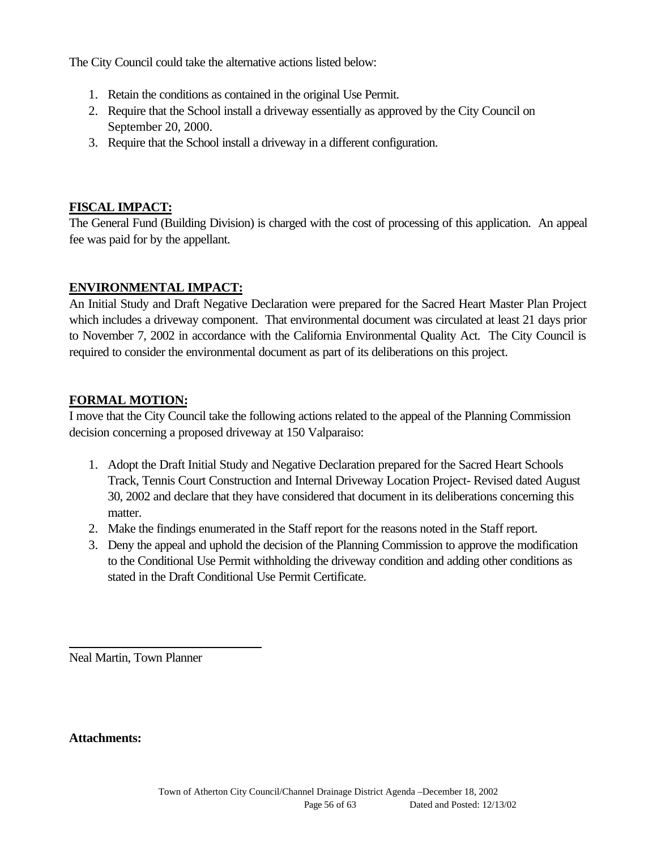The City Council could take the alternative actions listed below:

- 1. Retain the conditions as contained in the original Use Permit.
- 2. Require that the School install a driveway essentially as approved by the City Council on September 20, 2000.
- 3. Require that the School install a driveway in a different configuration.

#### **FISCAL IMPACT:**

The General Fund (Building Division) is charged with the cost of processing of this application. An appeal fee was paid for by the appellant.

#### **ENVIRONMENTAL IMPACT:**

An Initial Study and Draft Negative Declaration were prepared for the Sacred Heart Master Plan Project which includes a driveway component. That environmental document was circulated at least 21 days prior to November 7, 2002 in accordance with the California Environmental Quality Act. The City Council is required to consider the environmental document as part of its deliberations on this project.

## **FORMAL MOTION:**

I move that the City Council take the following actions related to the appeal of the Planning Commission decision concerning a proposed driveway at 150 Valparaiso:

- 1. Adopt the Draft Initial Study and Negative Declaration prepared for the Sacred Heart Schools Track, Tennis Court Construction and Internal Driveway Location Project- Revised dated August 30, 2002 and declare that they have considered that document in its deliberations concerning this matter.
- 2. Make the findings enumerated in the Staff report for the reasons noted in the Staff report.
- 3. Deny the appeal and uphold the decision of the Planning Commission to approve the modification to the Conditional Use Permit withholding the driveway condition and adding other conditions as stated in the Draft Conditional Use Permit Certificate.

Neal Martin, Town Planner

**Attachments:**

l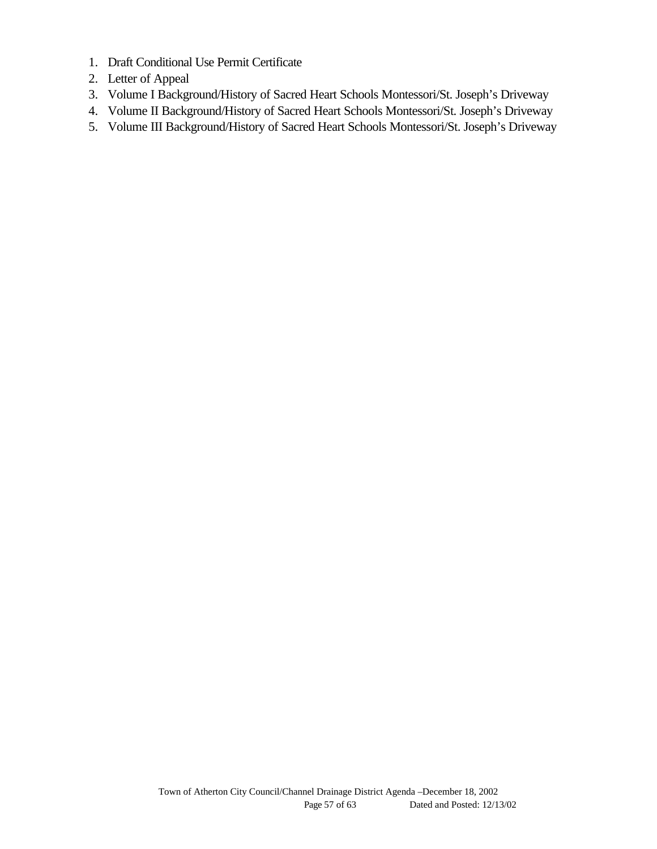- 1. Draft Conditional Use Permit Certificate
- 2. Letter of Appeal
- 3. Volume I Background/History of Sacred Heart Schools Montessori/St. Joseph's Driveway
- 4. Volume II Background/History of Sacred Heart Schools Montessori/St. Joseph's Driveway
- 5. Volume III Background/History of Sacred Heart Schools Montessori/St. Joseph's Driveway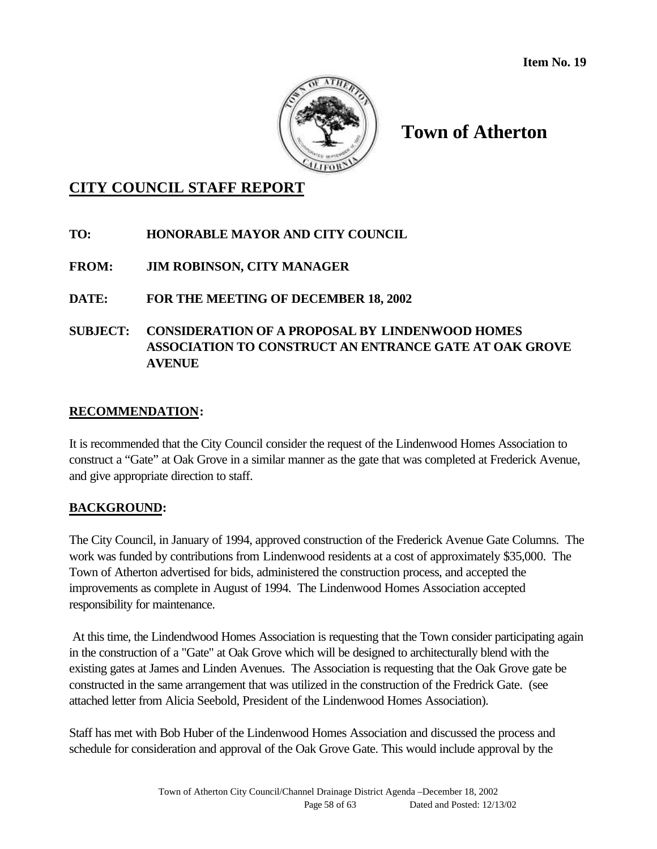

## **CITY COUNCIL STAFF REPORT**

## **TO: HONORABLE MAYOR AND CITY COUNCIL**

## **FROM: JIM ROBINSON, CITY MANAGER**

## **DATE: FOR THE MEETING OF DECEMBER 18, 2002**

## **SUBJECT: CONSIDERATION OF A PROPOSAL BY LINDENWOOD HOMES ASSOCIATION TO CONSTRUCT AN ENTRANCE GATE AT OAK GROVE AVENUE**

## **RECOMMENDATION:**

It is recommended that the City Council consider the request of the Lindenwood Homes Association to construct a "Gate" at Oak Grove in a similar manner as the gate that was completed at Frederick Avenue, and give appropriate direction to staff.

#### **BACKGROUND:**

The City Council, in January of 1994, approved construction of the Frederick Avenue Gate Columns. The work was funded by contributions from Lindenwood residents at a cost of approximately \$35,000. The Town of Atherton advertised for bids, administered the construction process, and accepted the improvements as complete in August of 1994. The Lindenwood Homes Association accepted responsibility for maintenance.

 At this time, the Lindendwood Homes Association is requesting that the Town consider participating again in the construction of a "Gate" at Oak Grove which will be designed to architecturally blend with the existing gates at James and Linden Avenues. The Association is requesting that the Oak Grove gate be constructed in the same arrangement that was utilized in the construction of the Fredrick Gate. (see attached letter from Alicia Seebold, President of the Lindenwood Homes Association).

Staff has met with Bob Huber of the Lindenwood Homes Association and discussed the process and schedule for consideration and approval of the Oak Grove Gate. This would include approval by the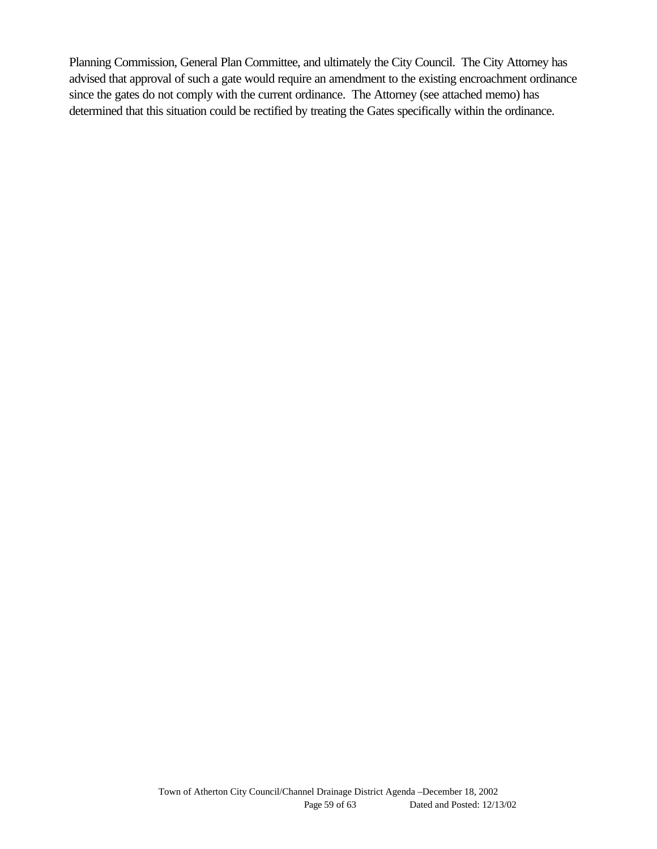Planning Commission, General Plan Committee, and ultimately the City Council. The City Attorney has advised that approval of such a gate would require an amendment to the existing encroachment ordinance since the gates do not comply with the current ordinance. The Attorney (see attached memo) has determined that this situation could be rectified by treating the Gates specifically within the ordinance.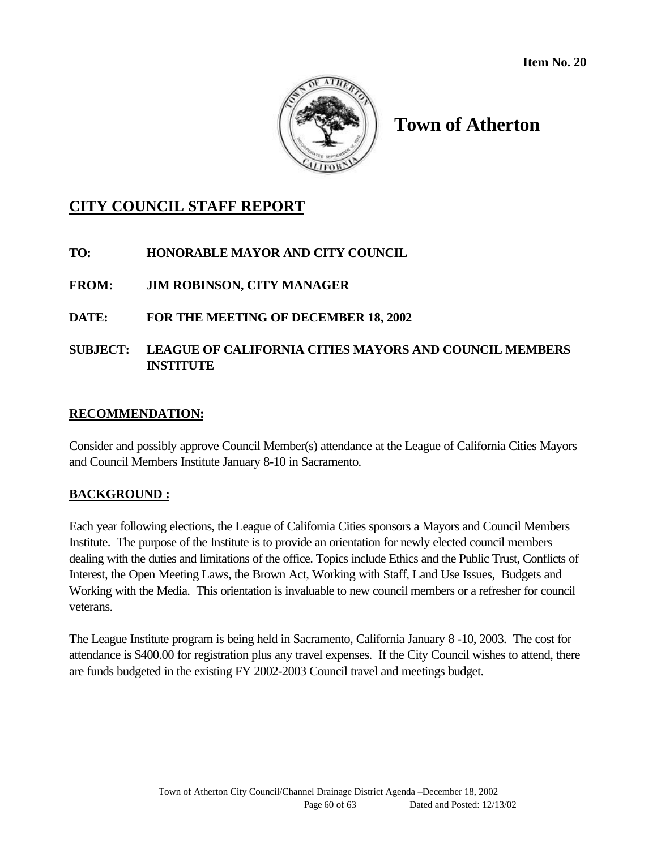

## **CITY COUNCIL STAFF REPORT**

**TO: HONORABLE MAYOR AND CITY COUNCIL**

**FROM: JIM ROBINSON, CITY MANAGER**

## **DATE: FOR THE MEETING OF DECEMBER 18, 2002**

## **SUBJECT: LEAGUE OF CALIFORNIA CITIES MAYORS AND COUNCIL MEMBERS INSTITUTE**

#### **RECOMMENDATION:**

Consider and possibly approve Council Member(s) attendance at the League of California Cities Mayors and Council Members Institute January 8-10 in Sacramento.

#### **BACKGROUND :**

Each year following elections, the League of California Cities sponsors a Mayors and Council Members Institute. The purpose of the Institute is to provide an orientation for newly elected council members dealing with the duties and limitations of the office. Topics include Ethics and the Public Trust, Conflicts of Interest, the Open Meeting Laws, the Brown Act, Working with Staff, Land Use Issues, Budgets and Working with the Media. This orientation is invaluable to new council members or a refresher for council veterans.

The League Institute program is being held in Sacramento, California January 8 -10, 2003. The cost for attendance is \$400.00 for registration plus any travel expenses. If the City Council wishes to attend, there are funds budgeted in the existing FY 2002-2003 Council travel and meetings budget.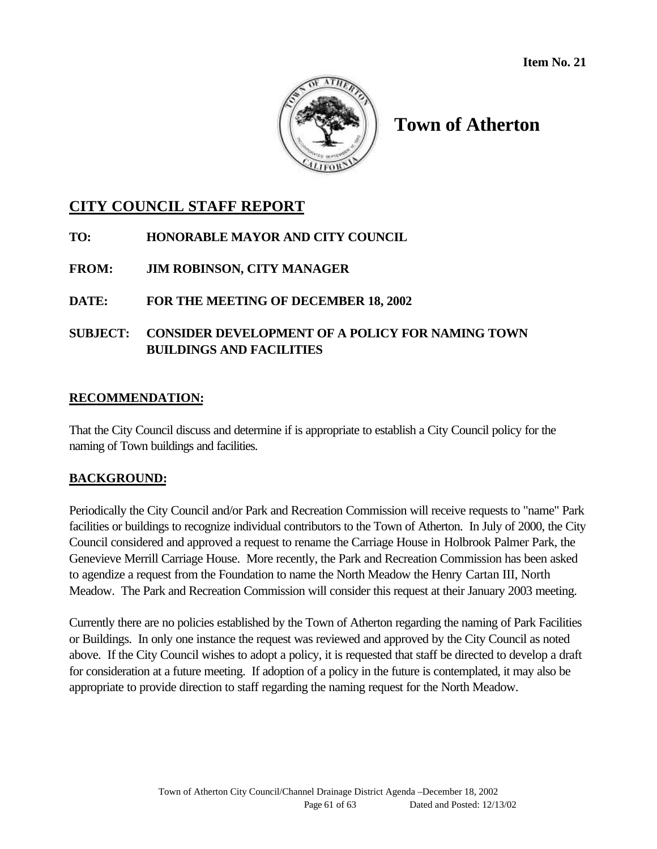

## **CITY COUNCIL STAFF REPORT**

- **TO: HONORABLE MAYOR AND CITY COUNCIL**
- **FROM: JIM ROBINSON, CITY MANAGER**
- **DATE: FOR THE MEETING OF DECEMBER 18, 2002**
- **SUBJECT: CONSIDER DEVELOPMENT OF A POLICY FOR NAMING TOWN BUILDINGS AND FACILITIES**

## **RECOMMENDATION:**

That the City Council discuss and determine if is appropriate to establish a City Council policy for the naming of Town buildings and facilities.

## **BACKGROUND:**

Periodically the City Council and/or Park and Recreation Commission will receive requests to "name" Park facilities or buildings to recognize individual contributors to the Town of Atherton. In July of 2000, the City Council considered and approved a request to rename the Carriage House in Holbrook Palmer Park, the Genevieve Merrill Carriage House. More recently, the Park and Recreation Commission has been asked to agendize a request from the Foundation to name the North Meadow the Henry Cartan III, North Meadow. The Park and Recreation Commission will consider this request at their January 2003 meeting.

Currently there are no policies established by the Town of Atherton regarding the naming of Park Facilities or Buildings. In only one instance the request was reviewed and approved by the City Council as noted above. If the City Council wishes to adopt a policy, it is requested that staff be directed to develop a draft for consideration at a future meeting. If adoption of a policy in the future is contemplated, it may also be appropriate to provide direction to staff regarding the naming request for the North Meadow.